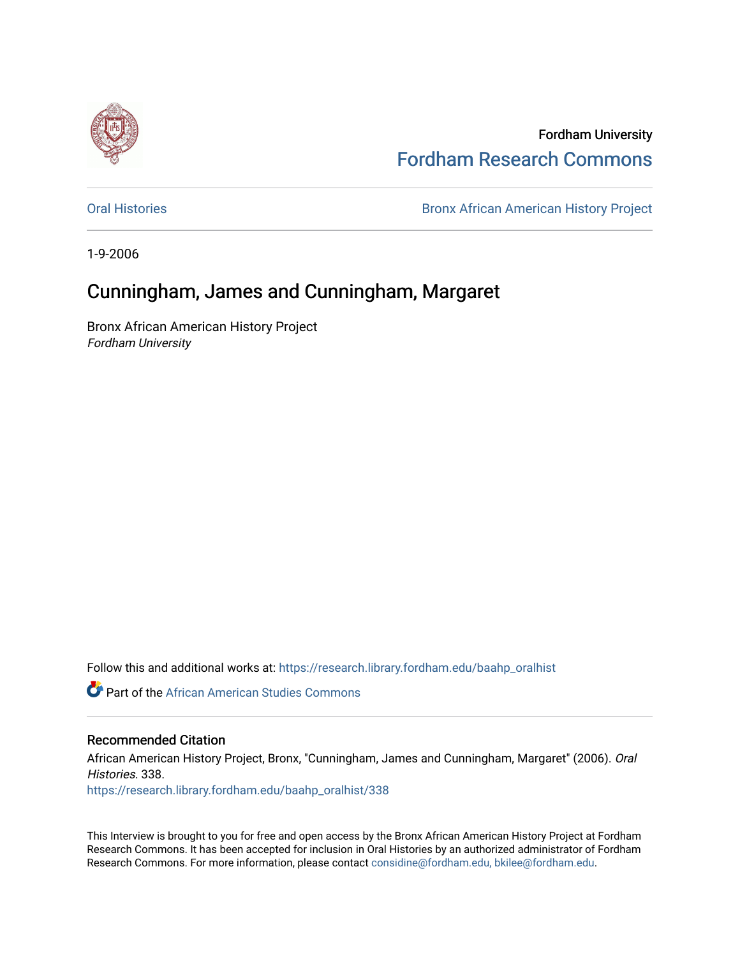

Fordham University [Fordham Research Commons](https://research.library.fordham.edu/) 

[Oral Histories](https://research.library.fordham.edu/baahp_oralhist) **Bronx African American History Project** Bronx African American History Project

1-9-2006

## Cunningham, James and Cunningham, Margaret

Bronx African American History Project Fordham University

Follow this and additional works at: [https://research.library.fordham.edu/baahp\\_oralhist](https://research.library.fordham.edu/baahp_oralhist?utm_source=research.library.fordham.edu%2Fbaahp_oralhist%2F338&utm_medium=PDF&utm_campaign=PDFCoverPages)

**Part of the African American Studies Commons** 

## Recommended Citation

African American History Project, Bronx, "Cunningham, James and Cunningham, Margaret" (2006). Oral Histories. 338.

[https://research.library.fordham.edu/baahp\\_oralhist/338](https://research.library.fordham.edu/baahp_oralhist/338?utm_source=research.library.fordham.edu%2Fbaahp_oralhist%2F338&utm_medium=PDF&utm_campaign=PDFCoverPages)

This Interview is brought to you for free and open access by the Bronx African American History Project at Fordham Research Commons. It has been accepted for inclusion in Oral Histories by an authorized administrator of Fordham Research Commons. For more information, please contact [considine@fordham.edu, bkilee@fordham.edu](mailto:considine@fordham.edu,%20bkilee@fordham.edu).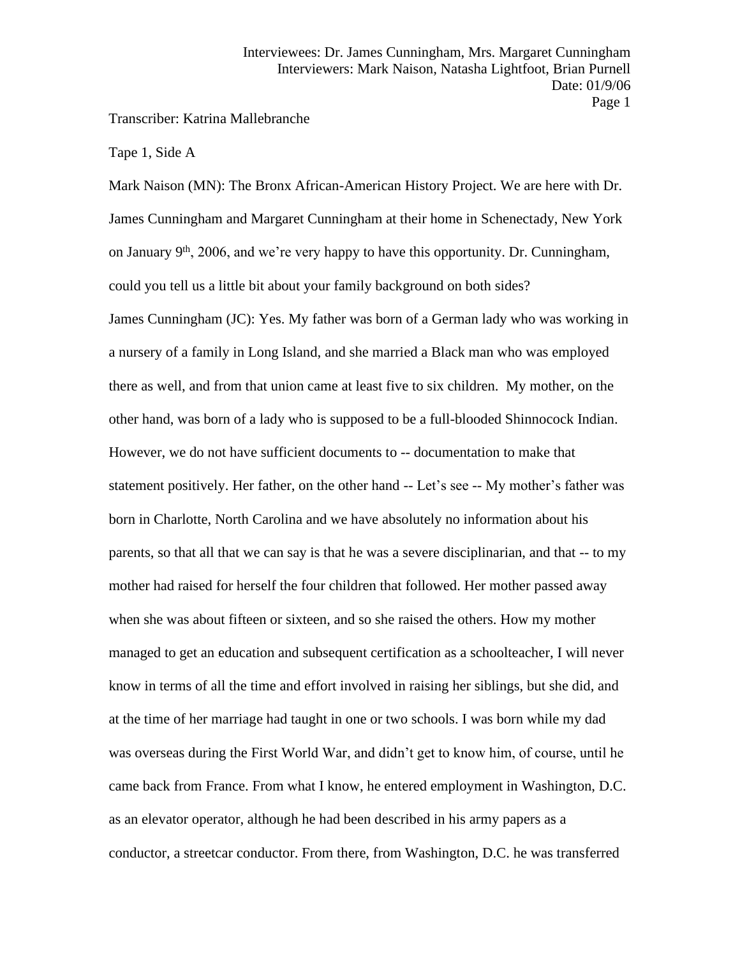Transcriber: Katrina Mallebranche

Tape 1, Side A

Mark Naison (MN): The Bronx African-American History Project. We are here with Dr. James Cunningham and Margaret Cunningham at their home in Schenectady, New York on January 9th, 2006, and we're very happy to have this opportunity. Dr. Cunningham, could you tell us a little bit about your family background on both sides? James Cunningham (JC): Yes. My father was born of a German lady who was working in a nursery of a family in Long Island, and she married a Black man who was employed there as well, and from that union came at least five to six children. My mother, on the other hand, was born of a lady who is supposed to be a full-blooded Shinnocock Indian. However, we do not have sufficient documents to -- documentation to make that statement positively. Her father, on the other hand -- Let's see -- My mother's father was born in Charlotte, North Carolina and we have absolutely no information about his parents, so that all that we can say is that he was a severe disciplinarian, and that -- to my mother had raised for herself the four children that followed. Her mother passed away when she was about fifteen or sixteen, and so she raised the others. How my mother managed to get an education and subsequent certification as a schoolteacher, I will never know in terms of all the time and effort involved in raising her siblings, but she did, and at the time of her marriage had taught in one or two schools. I was born while my dad was overseas during the First World War, and didn't get to know him, of course, until he came back from France. From what I know, he entered employment in Washington, D.C. as an elevator operator, although he had been described in his army papers as a conductor, a streetcar conductor. From there, from Washington, D.C. he was transferred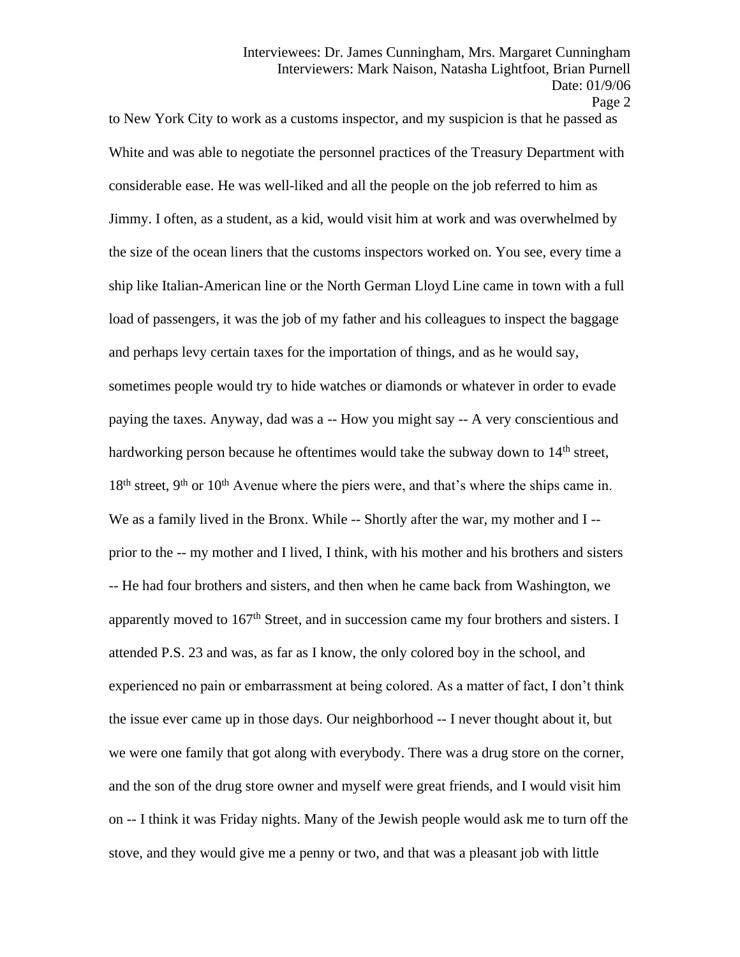to New York City to work as a customs inspector, and my suspicion is that he passed as White and was able to negotiate the personnel practices of the Treasury Department with considerable ease. He was well-liked and all the people on the job referred to him as Jimmy. I often, as a student, as a kid, would visit him at work and was overwhelmed by the size of the ocean liners that the customs inspectors worked on. You see, every time a ship like Italian-American line or the North German Lloyd Line came in town with a full load of passengers, it was the job of my father and his colleagues to inspect the baggage and perhaps levy certain taxes for the importation of things, and as he would say, sometimes people would try to hide watches or diamonds or whatever in order to evade paying the taxes. Anyway, dad was a -- How you might say -- A very conscientious and hardworking person because he oftentimes would take the subway down to 14<sup>th</sup> street,  $18<sup>th</sup>$  street, 9<sup>th</sup> or  $10<sup>th</sup>$  Avenue where the piers were, and that's where the ships came in. We as a family lived in the Bronx. While -- Shortly after the war, my mother and I-prior to the -- my mother and I lived, I think, with his mother and his brothers and sisters -- He had four brothers and sisters, and then when he came back from Washington, we apparently moved to 167<sup>th</sup> Street, and in succession came my four brothers and sisters. I attended P.S. 23 and was, as far as I know, the only colored boy in the school, and experienced no pain or embarrassment at being colored. As a matter of fact, I don't think the issue ever came up in those days. Our neighborhood -- I never thought about it, but we were one family that got along with everybody. There was a drug store on the corner, and the son of the drug store owner and myself were great friends, and I would visit him on -- I think it was Friday nights. Many of the Jewish people would ask me to turn off the stove, and they would give me a penny or two, and that was a pleasant job with little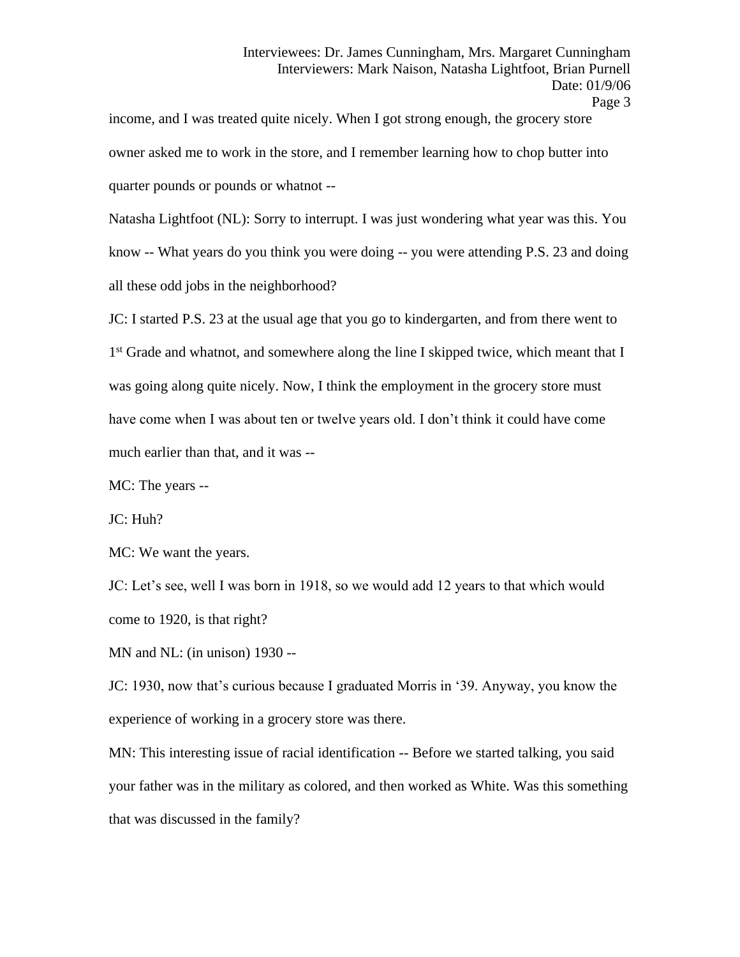income, and I was treated quite nicely. When I got strong enough, the grocery store owner asked me to work in the store, and I remember learning how to chop butter into quarter pounds or pounds or whatnot --

Natasha Lightfoot (NL): Sorry to interrupt. I was just wondering what year was this. You know -- What years do you think you were doing -- you were attending P.S. 23 and doing all these odd jobs in the neighborhood?

JC: I started P.S. 23 at the usual age that you go to kindergarten, and from there went to 1<sup>st</sup> Grade and whatnot, and somewhere along the line I skipped twice, which meant that I was going along quite nicely. Now, I think the employment in the grocery store must have come when I was about ten or twelve years old. I don't think it could have come much earlier than that, and it was --

MC: The years --

JC: Huh?

MC: We want the years.

JC: Let's see, well I was born in 1918, so we would add 12 years to that which would come to 1920, is that right?

MN and NL: (in unison) 1930 --

JC: 1930, now that's curious because I graduated Morris in '39. Anyway, you know the experience of working in a grocery store was there.

MN: This interesting issue of racial identification -- Before we started talking, you said your father was in the military as colored, and then worked as White. Was this something that was discussed in the family?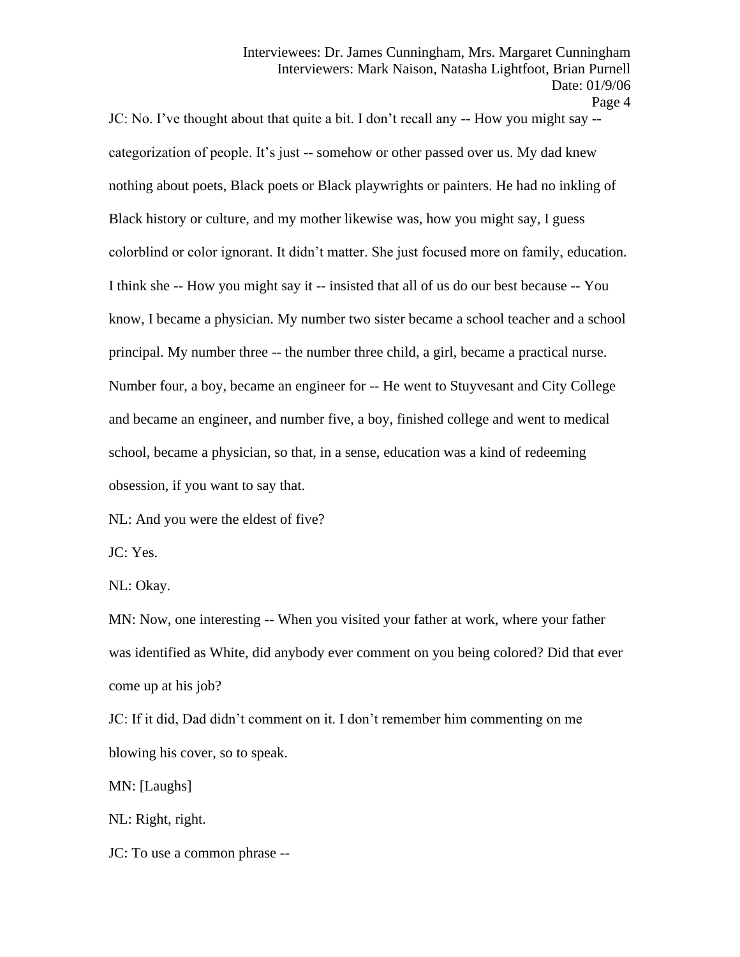Interviewees: Dr. James Cunningham, Mrs. Margaret Cunningham Interviewers: Mark Naison, Natasha Lightfoot, Brian Purnell Date: 01/9/06

JC: No. I've thought about that quite a bit. I don't recall any -- How you might say - categorization of people. It's just -- somehow or other passed over us. My dad knew nothing about poets, Black poets or Black playwrights or painters. He had no inkling of Black history or culture, and my mother likewise was, how you might say, I guess colorblind or color ignorant. It didn't matter. She just focused more on family, education. I think she -- How you might say it -- insisted that all of us do our best because -- You know, I became a physician. My number two sister became a school teacher and a school principal. My number three -- the number three child, a girl, became a practical nurse. Number four, a boy, became an engineer for -- He went to Stuyvesant and City College and became an engineer, and number five, a boy, finished college and went to medical school, became a physician, so that, in a sense, education was a kind of redeeming obsession, if you want to say that.

NL: And you were the eldest of five?

JC: Yes.

NL: Okay.

MN: Now, one interesting -- When you visited your father at work, where your father was identified as White, did anybody ever comment on you being colored? Did that ever come up at his job?

JC: If it did, Dad didn't comment on it. I don't remember him commenting on me blowing his cover, so to speak.

MN: [Laughs]

NL: Right, right.

JC: To use a common phrase --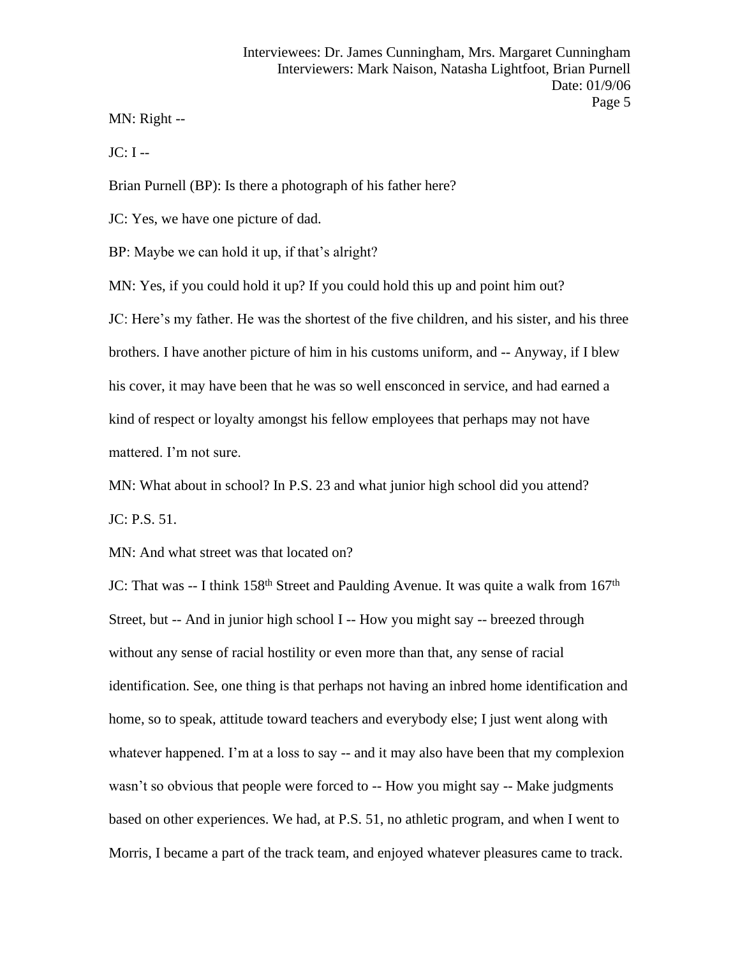MN: Right --

 $JC: I --$ 

Brian Purnell (BP): Is there a photograph of his father here?

JC: Yes, we have one picture of dad.

BP: Maybe we can hold it up, if that's alright?

MN: Yes, if you could hold it up? If you could hold this up and point him out? JC: Here's my father. He was the shortest of the five children, and his sister, and his three brothers. I have another picture of him in his customs uniform, and -- Anyway, if I blew his cover, it may have been that he was so well ensconced in service, and had earned a kind of respect or loyalty amongst his fellow employees that perhaps may not have mattered. I'm not sure.

MN: What about in school? In P.S. 23 and what junior high school did you attend?

JC: P.S. 51.

MN: And what street was that located on?

JC: That was -- I think 158<sup>th</sup> Street and Paulding Avenue. It was quite a walk from 167<sup>th</sup> Street, but -- And in junior high school I -- How you might say -- breezed through without any sense of racial hostility or even more than that, any sense of racial identification. See, one thing is that perhaps not having an inbred home identification and home, so to speak, attitude toward teachers and everybody else; I just went along with whatever happened. I'm at a loss to say -- and it may also have been that my complexion wasn't so obvious that people were forced to -- How you might say -- Make judgments based on other experiences. We had, at P.S. 51, no athletic program, and when I went to Morris, I became a part of the track team, and enjoyed whatever pleasures came to track.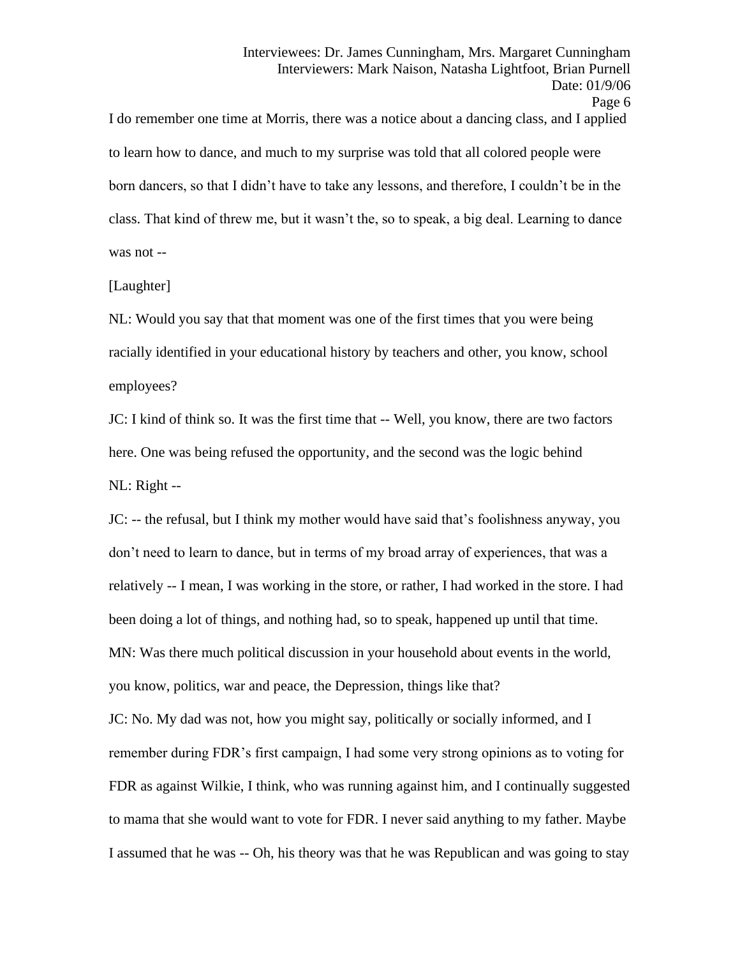I do remember one time at Morris, there was a notice about a dancing class, and I applied to learn how to dance, and much to my surprise was told that all colored people were born dancers, so that I didn't have to take any lessons, and therefore, I couldn't be in the class. That kind of threw me, but it wasn't the, so to speak, a big deal. Learning to dance was not --

## [Laughter]

NL: Would you say that that moment was one of the first times that you were being racially identified in your educational history by teachers and other, you know, school employees?

JC: I kind of think so. It was the first time that -- Well, you know, there are two factors here. One was being refused the opportunity, and the second was the logic behind NL: Right --

JC: -- the refusal, but I think my mother would have said that's foolishness anyway, you don't need to learn to dance, but in terms of my broad array of experiences, that was a relatively -- I mean, I was working in the store, or rather, I had worked in the store. I had been doing a lot of things, and nothing had, so to speak, happened up until that time. MN: Was there much political discussion in your household about events in the world, you know, politics, war and peace, the Depression, things like that?

JC: No. My dad was not, how you might say, politically or socially informed, and I remember during FDR's first campaign, I had some very strong opinions as to voting for FDR as against Wilkie, I think, who was running against him, and I continually suggested to mama that she would want to vote for FDR. I never said anything to my father. Maybe I assumed that he was -- Oh, his theory was that he was Republican and was going to stay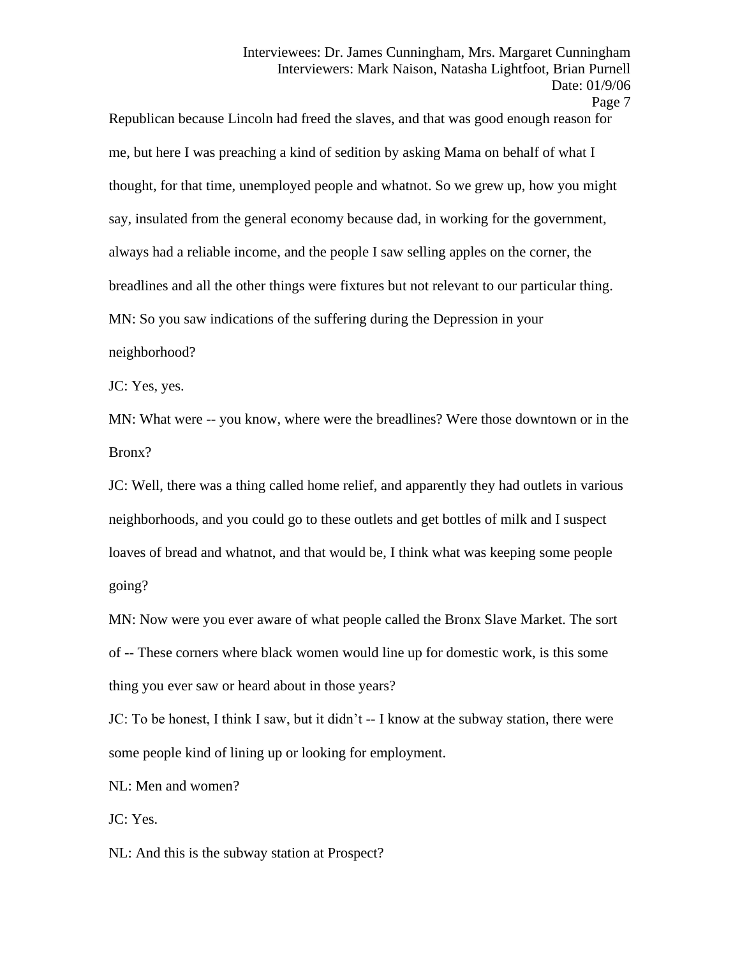Page 7

Republican because Lincoln had freed the slaves, and that was good enough reason for me, but here I was preaching a kind of sedition by asking Mama on behalf of what I thought, for that time, unemployed people and whatnot. So we grew up, how you might say, insulated from the general economy because dad, in working for the government, always had a reliable income, and the people I saw selling apples on the corner, the breadlines and all the other things were fixtures but not relevant to our particular thing. MN: So you saw indications of the suffering during the Depression in your neighborhood?

JC: Yes, yes.

MN: What were -- you know, where were the breadlines? Were those downtown or in the Bronx?

JC: Well, there was a thing called home relief, and apparently they had outlets in various neighborhoods, and you could go to these outlets and get bottles of milk and I suspect loaves of bread and whatnot, and that would be, I think what was keeping some people going?

MN: Now were you ever aware of what people called the Bronx Slave Market. The sort of -- These corners where black women would line up for domestic work, is this some thing you ever saw or heard about in those years?

JC: To be honest, I think I saw, but it didn't -- I know at the subway station, there were some people kind of lining up or looking for employment.

NL: Men and women?

JC: Yes.

NL: And this is the subway station at Prospect?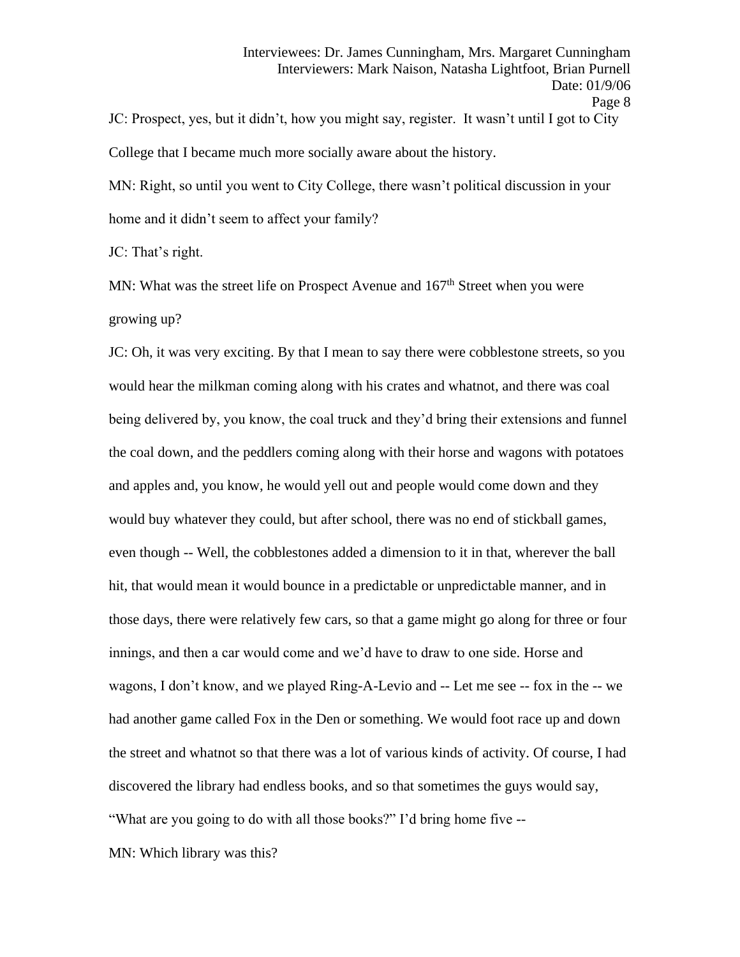JC: Prospect, yes, but it didn't, how you might say, register. It wasn't until I got to City College that I became much more socially aware about the history.

MN: Right, so until you went to City College, there wasn't political discussion in your home and it didn't seem to affect your family?

JC: That's right.

MN: What was the street life on Prospect Avenue and 167<sup>th</sup> Street when you were growing up?

JC: Oh, it was very exciting. By that I mean to say there were cobblestone streets, so you would hear the milkman coming along with his crates and whatnot, and there was coal being delivered by, you know, the coal truck and they'd bring their extensions and funnel the coal down, and the peddlers coming along with their horse and wagons with potatoes and apples and, you know, he would yell out and people would come down and they would buy whatever they could, but after school, there was no end of stickball games, even though -- Well, the cobblestones added a dimension to it in that, wherever the ball hit, that would mean it would bounce in a predictable or unpredictable manner, and in those days, there were relatively few cars, so that a game might go along for three or four innings, and then a car would come and we'd have to draw to one side. Horse and wagons, I don't know, and we played Ring-A-Levio and -- Let me see -- fox in the -- we had another game called Fox in the Den or something. We would foot race up and down the street and whatnot so that there was a lot of various kinds of activity. Of course, I had discovered the library had endless books, and so that sometimes the guys would say, "What are you going to do with all those books?" I'd bring home five --

MN: Which library was this?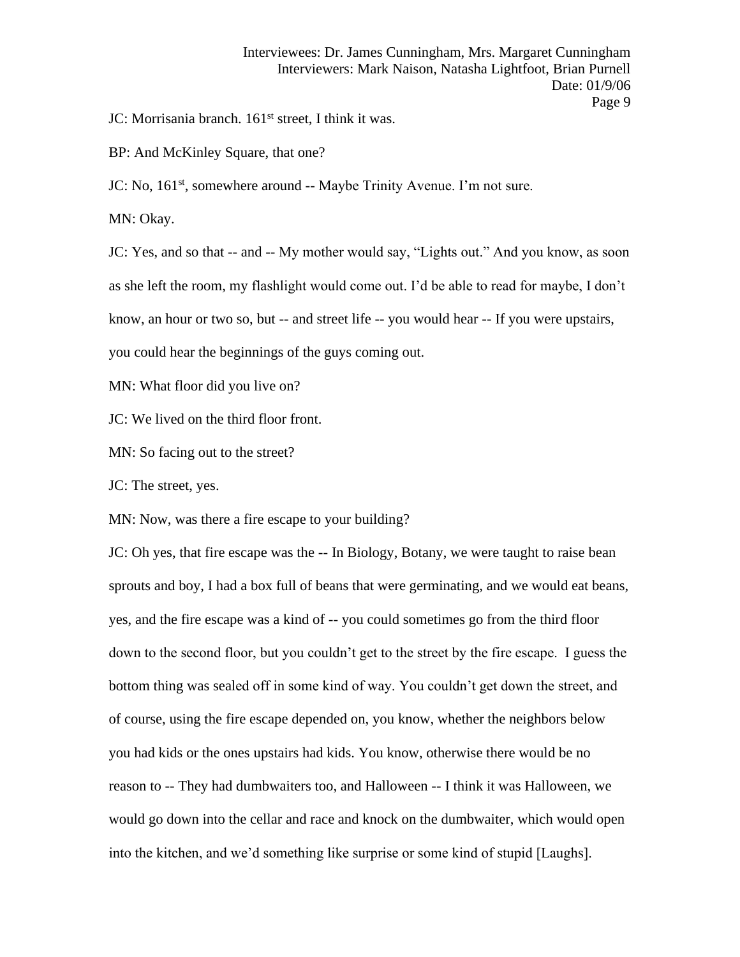JC: Morrisania branch. 161<sup>st</sup> street, I think it was.

BP: And McKinley Square, that one?

JC: No, 161<sup>st</sup>, somewhere around -- Maybe Trinity Avenue. I'm not sure.

MN: Okay.

JC: Yes, and so that -- and -- My mother would say, "Lights out." And you know, as soon as she left the room, my flashlight would come out. I'd be able to read for maybe, I don't know, an hour or two so, but -- and street life -- you would hear -- If you were upstairs,

you could hear the beginnings of the guys coming out.

MN: What floor did you live on?

JC: We lived on the third floor front.

MN: So facing out to the street?

JC: The street, yes.

MN: Now, was there a fire escape to your building?

JC: Oh yes, that fire escape was the -- In Biology, Botany, we were taught to raise bean sprouts and boy, I had a box full of beans that were germinating, and we would eat beans, yes, and the fire escape was a kind of -- you could sometimes go from the third floor down to the second floor, but you couldn't get to the street by the fire escape. I guess the bottom thing was sealed off in some kind of way. You couldn't get down the street, and of course, using the fire escape depended on, you know, whether the neighbors below you had kids or the ones upstairs had kids. You know, otherwise there would be no reason to -- They had dumbwaiters too, and Halloween -- I think it was Halloween, we would go down into the cellar and race and knock on the dumbwaiter, which would open into the kitchen, and we'd something like surprise or some kind of stupid [Laughs].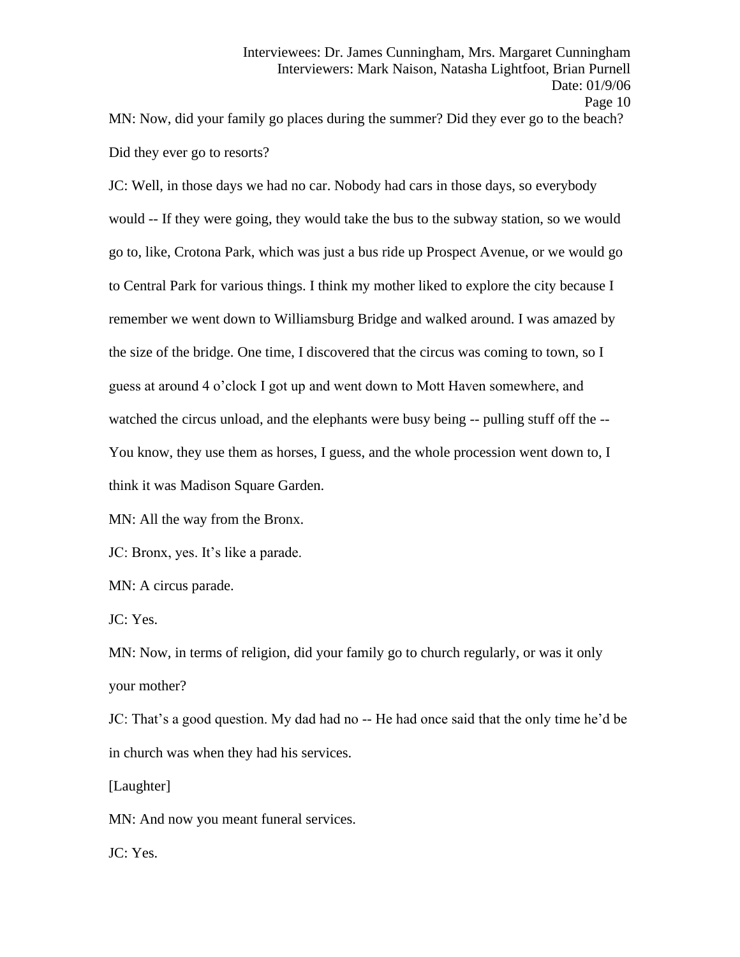MN: Now, did your family go places during the summer? Did they ever go to the beach? Did they ever go to resorts?

JC: Well, in those days we had no car. Nobody had cars in those days, so everybody would -- If they were going, they would take the bus to the subway station, so we would go to, like, Crotona Park, which was just a bus ride up Prospect Avenue, or we would go to Central Park for various things. I think my mother liked to explore the city because I remember we went down to Williamsburg Bridge and walked around. I was amazed by the size of the bridge. One time, I discovered that the circus was coming to town, so I guess at around 4 o'clock I got up and went down to Mott Haven somewhere, and watched the circus unload, and the elephants were busy being -- pulling stuff off the --You know, they use them as horses, I guess, and the whole procession went down to, I think it was Madison Square Garden.

MN: All the way from the Bronx.

JC: Bronx, yes. It's like a parade.

MN: A circus parade.

JC: Yes.

MN: Now, in terms of religion, did your family go to church regularly, or was it only your mother?

JC: That's a good question. My dad had no -- He had once said that the only time he'd be in church was when they had his services.

[Laughter]

MN: And now you meant funeral services.

JC: Yes.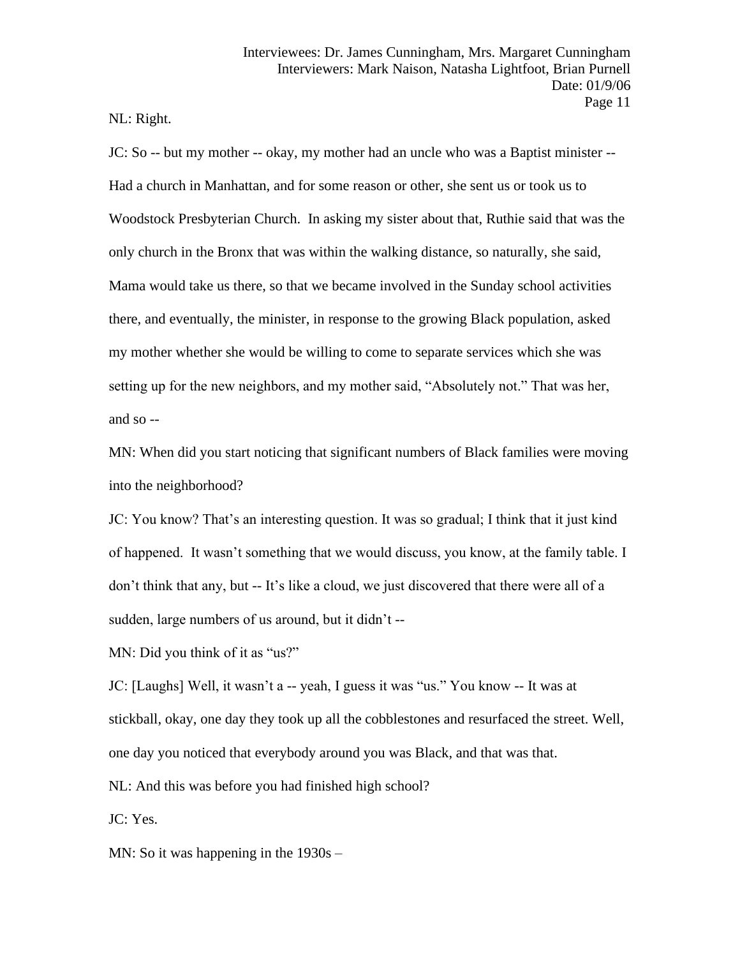NL: Right.

JC: So -- but my mother -- okay, my mother had an uncle who was a Baptist minister -- Had a church in Manhattan, and for some reason or other, she sent us or took us to Woodstock Presbyterian Church. In asking my sister about that, Ruthie said that was the only church in the Bronx that was within the walking distance, so naturally, she said, Mama would take us there, so that we became involved in the Sunday school activities there, and eventually, the minister, in response to the growing Black population, asked my mother whether she would be willing to come to separate services which she was setting up for the new neighbors, and my mother said, "Absolutely not." That was her, and so --

MN: When did you start noticing that significant numbers of Black families were moving into the neighborhood?

JC: You know? That's an interesting question. It was so gradual; I think that it just kind of happened. It wasn't something that we would discuss, you know, at the family table. I don't think that any, but -- It's like a cloud, we just discovered that there were all of a sudden, large numbers of us around, but it didn't --

MN: Did you think of it as "us?"

JC: [Laughs] Well, it wasn't a -- yeah, I guess it was "us." You know -- It was at stickball, okay, one day they took up all the cobblestones and resurfaced the street. Well, one day you noticed that everybody around you was Black, and that was that. NL: And this was before you had finished high school?

JC: Yes.

MN: So it was happening in the 1930s –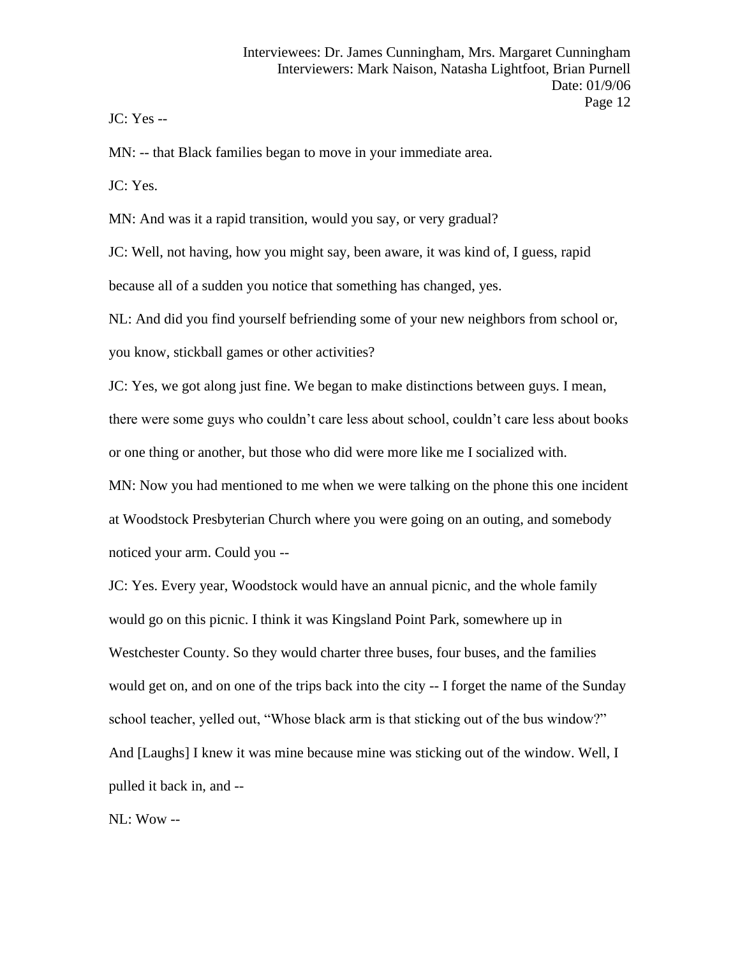JC: Yes --

MN: -- that Black families began to move in your immediate area.

JC: Yes.

MN: And was it a rapid transition, would you say, or very gradual?

JC: Well, not having, how you might say, been aware, it was kind of, I guess, rapid because all of a sudden you notice that something has changed, yes.

NL: And did you find yourself befriending some of your new neighbors from school or,

you know, stickball games or other activities?

JC: Yes, we got along just fine. We began to make distinctions between guys. I mean, there were some guys who couldn't care less about school, couldn't care less about books or one thing or another, but those who did were more like me I socialized with.

MN: Now you had mentioned to me when we were talking on the phone this one incident at Woodstock Presbyterian Church where you were going on an outing, and somebody noticed your arm. Could you --

JC: Yes. Every year, Woodstock would have an annual picnic, and the whole family would go on this picnic. I think it was Kingsland Point Park, somewhere up in Westchester County. So they would charter three buses, four buses, and the families would get on, and on one of the trips back into the city -- I forget the name of the Sunday school teacher, yelled out, "Whose black arm is that sticking out of the bus window?" And [Laughs] I knew it was mine because mine was sticking out of the window. Well, I pulled it back in, and --

NL: Wow --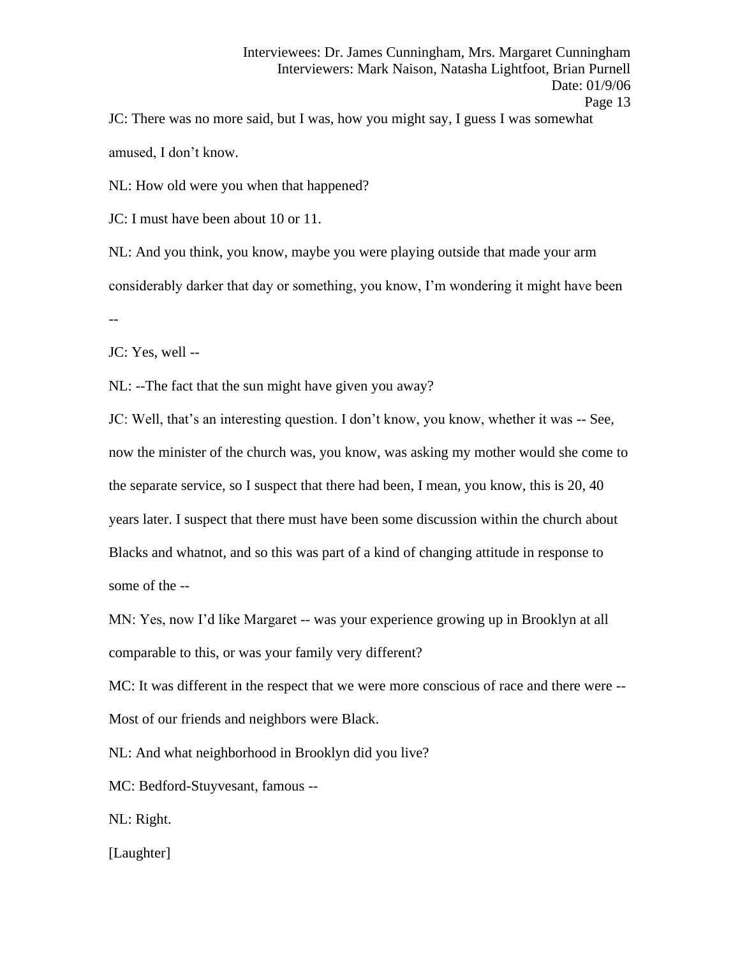JC: There was no more said, but I was, how you might say, I guess I was somewhat amused, I don't know.

NL: How old were you when that happened?

JC: I must have been about 10 or 11.

NL: And you think, you know, maybe you were playing outside that made your arm considerably darker that day or something, you know, I'm wondering it might have been --

JC: Yes, well --

NL: --The fact that the sun might have given you away?

JC: Well, that's an interesting question. I don't know, you know, whether it was -- See, now the minister of the church was, you know, was asking my mother would she come to the separate service, so I suspect that there had been, I mean, you know, this is 20, 40 years later. I suspect that there must have been some discussion within the church about Blacks and whatnot, and so this was part of a kind of changing attitude in response to some of the --

MN: Yes, now I'd like Margaret -- was your experience growing up in Brooklyn at all comparable to this, or was your family very different?

MC: It was different in the respect that we were more conscious of race and there were -- Most of our friends and neighbors were Black.

NL: And what neighborhood in Brooklyn did you live?

MC: Bedford-Stuyvesant, famous --

NL: Right.

[Laughter]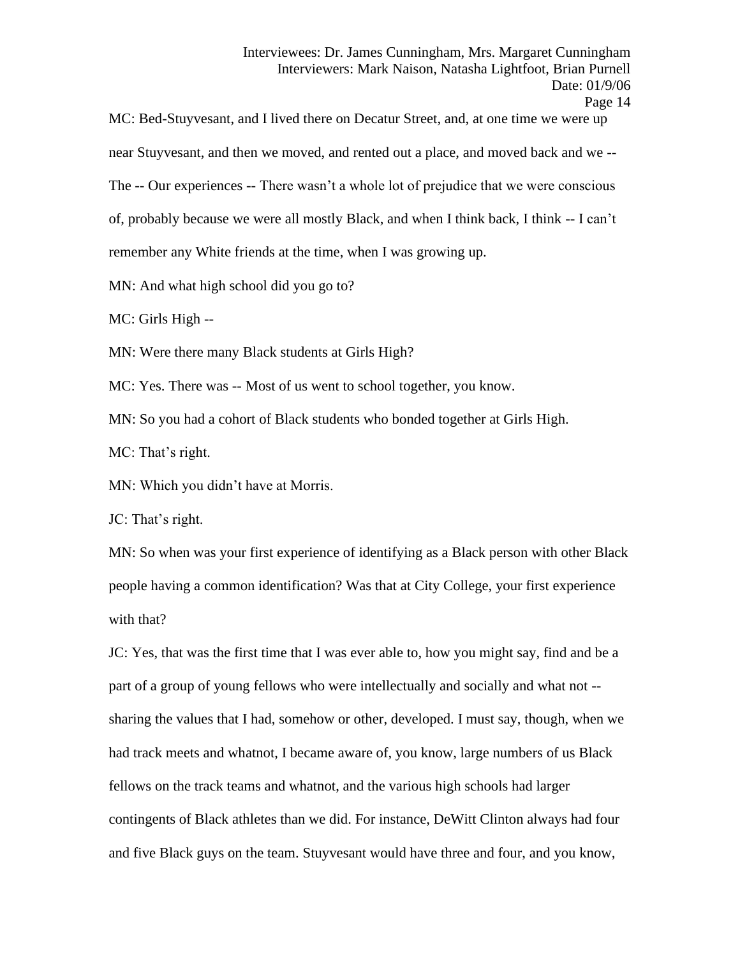MC: Bed-Stuyvesant, and I lived there on Decatur Street, and, at one time we were up near Stuyvesant, and then we moved, and rented out a place, and moved back and we -- The -- Our experiences -- There wasn't a whole lot of prejudice that we were conscious of, probably because we were all mostly Black, and when I think back, I think -- I can't remember any White friends at the time, when I was growing up. MN: And what high school did you go to?

MC: Girls High --

MN: Were there many Black students at Girls High?

MC: Yes. There was -- Most of us went to school together, you know.

MN: So you had a cohort of Black students who bonded together at Girls High.

MC: That's right.

MN: Which you didn't have at Morris.

JC: That's right.

MN: So when was your first experience of identifying as a Black person with other Black people having a common identification? Was that at City College, your first experience with that?

JC: Yes, that was the first time that I was ever able to, how you might say, find and be a part of a group of young fellows who were intellectually and socially and what not - sharing the values that I had, somehow or other, developed. I must say, though, when we had track meets and whatnot, I became aware of, you know, large numbers of us Black fellows on the track teams and whatnot, and the various high schools had larger contingents of Black athletes than we did. For instance, DeWitt Clinton always had four and five Black guys on the team. Stuyvesant would have three and four, and you know,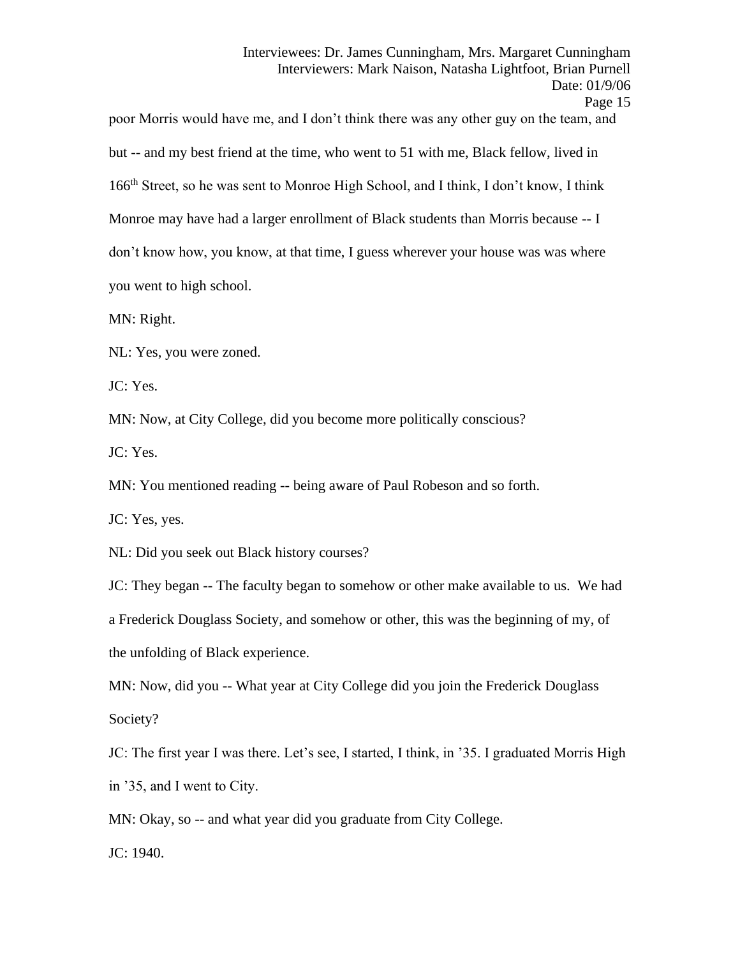poor Morris would have me, and I don't think there was any other guy on the team, and but -- and my best friend at the time, who went to 51 with me, Black fellow, lived in 166<sup>th</sup> Street, so he was sent to Monroe High School, and I think, I don't know, I think Monroe may have had a larger enrollment of Black students than Morris because -- I don't know how, you know, at that time, I guess wherever your house was was where you went to high school.

MN: Right.

NL: Yes, you were zoned.

JC: Yes.

MN: Now, at City College, did you become more politically conscious?

JC: Yes.

MN: You mentioned reading -- being aware of Paul Robeson and so forth.

JC: Yes, yes.

NL: Did you seek out Black history courses?

JC: They began -- The faculty began to somehow or other make available to us. We had a Frederick Douglass Society, and somehow or other, this was the beginning of my, of the unfolding of Black experience.

MN: Now, did you -- What year at City College did you join the Frederick Douglass Society?

JC: The first year I was there. Let's see, I started, I think, in '35. I graduated Morris High in '35, and I went to City.

MN: Okay, so -- and what year did you graduate from City College.

JC: 1940.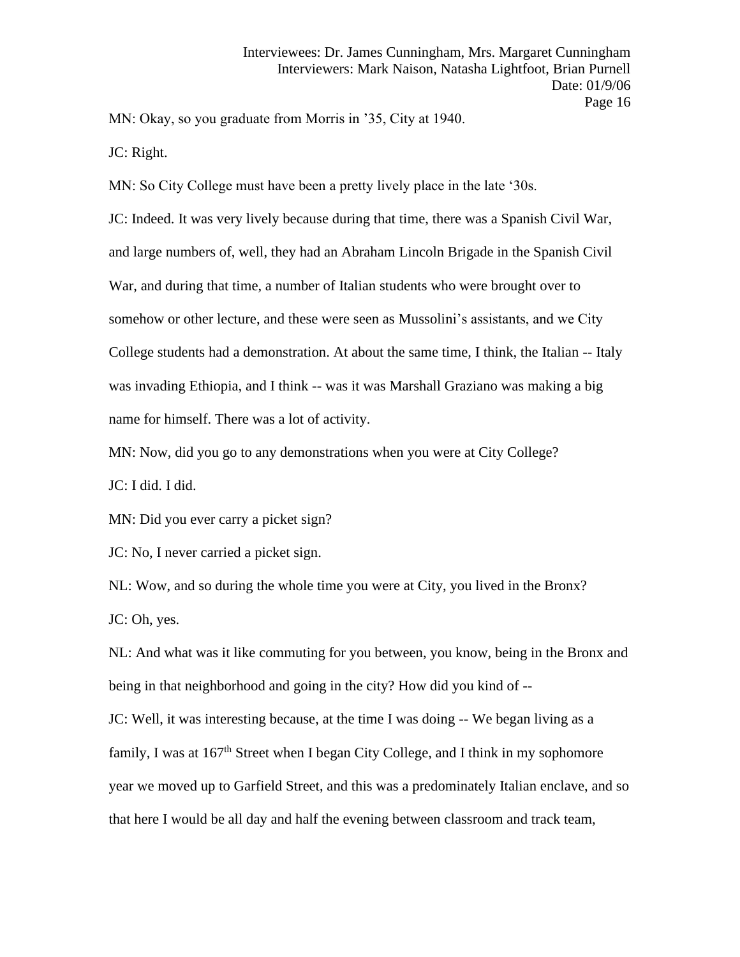MN: Okay, so you graduate from Morris in '35, City at 1940.

JC: Right.

MN: So City College must have been a pretty lively place in the late '30s. JC: Indeed. It was very lively because during that time, there was a Spanish Civil War, and large numbers of, well, they had an Abraham Lincoln Brigade in the Spanish Civil War, and during that time, a number of Italian students who were brought over to somehow or other lecture, and these were seen as Mussolini's assistants, and we City College students had a demonstration. At about the same time, I think, the Italian -- Italy was invading Ethiopia, and I think -- was it was Marshall Graziano was making a big name for himself. There was a lot of activity.

MN: Now, did you go to any demonstrations when you were at City College?

JC: I did. I did.

MN: Did you ever carry a picket sign?

JC: No, I never carried a picket sign.

NL: Wow, and so during the whole time you were at City, you lived in the Bronx? JC: Oh, yes.

NL: And what was it like commuting for you between, you know, being in the Bronx and being in that neighborhood and going in the city? How did you kind of --

JC: Well, it was interesting because, at the time I was doing -- We began living as a family, I was at  $167<sup>th</sup>$  Street when I began City College, and I think in my sophomore year we moved up to Garfield Street, and this was a predominately Italian enclave, and so that here I would be all day and half the evening between classroom and track team,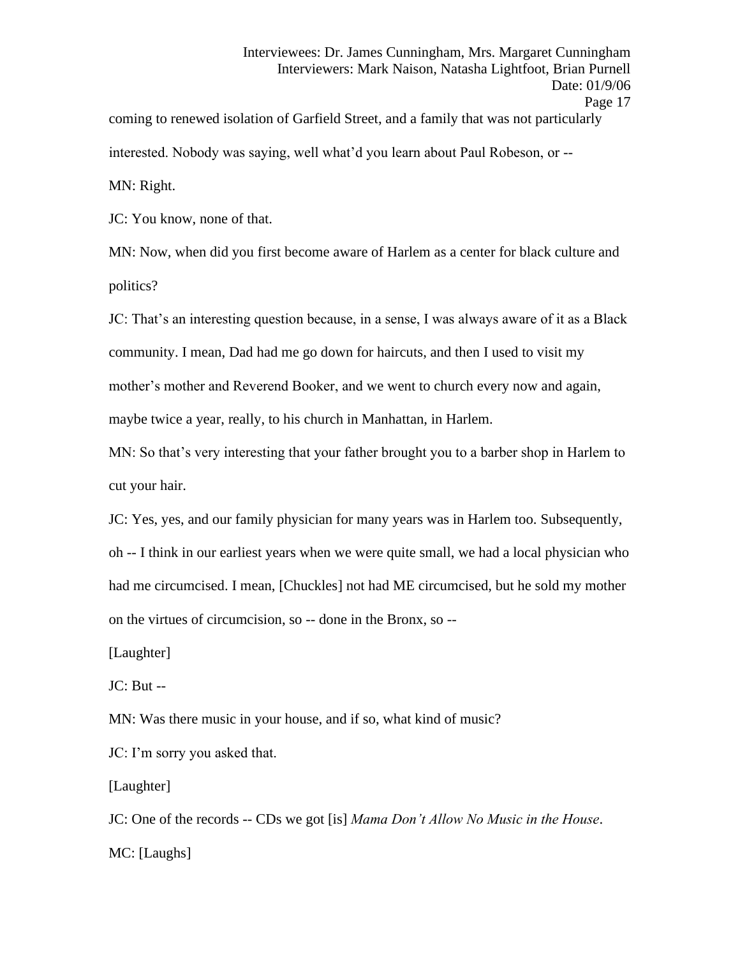coming to renewed isolation of Garfield Street, and a family that was not particularly interested. Nobody was saying, well what'd you learn about Paul Robeson, or -- MN: Right.

JC: You know, none of that.

MN: Now, when did you first become aware of Harlem as a center for black culture and politics?

JC: That's an interesting question because, in a sense, I was always aware of it as a Black community. I mean, Dad had me go down for haircuts, and then I used to visit my mother's mother and Reverend Booker, and we went to church every now and again, maybe twice a year, really, to his church in Manhattan, in Harlem.

MN: So that's very interesting that your father brought you to a barber shop in Harlem to cut your hair.

JC: Yes, yes, and our family physician for many years was in Harlem too. Subsequently, oh -- I think in our earliest years when we were quite small, we had a local physician who had me circumcised. I mean, [Chuckles] not had ME circumcised, but he sold my mother on the virtues of circumcision, so -- done in the Bronx, so --

[Laughter]

 $JC: But --$ 

MN: Was there music in your house, and if so, what kind of music?

JC: I'm sorry you asked that.

[Laughter]

JC: One of the records -- CDs we got [is] *Mama Don't Allow No Music in the House*.

MC: [Laughs]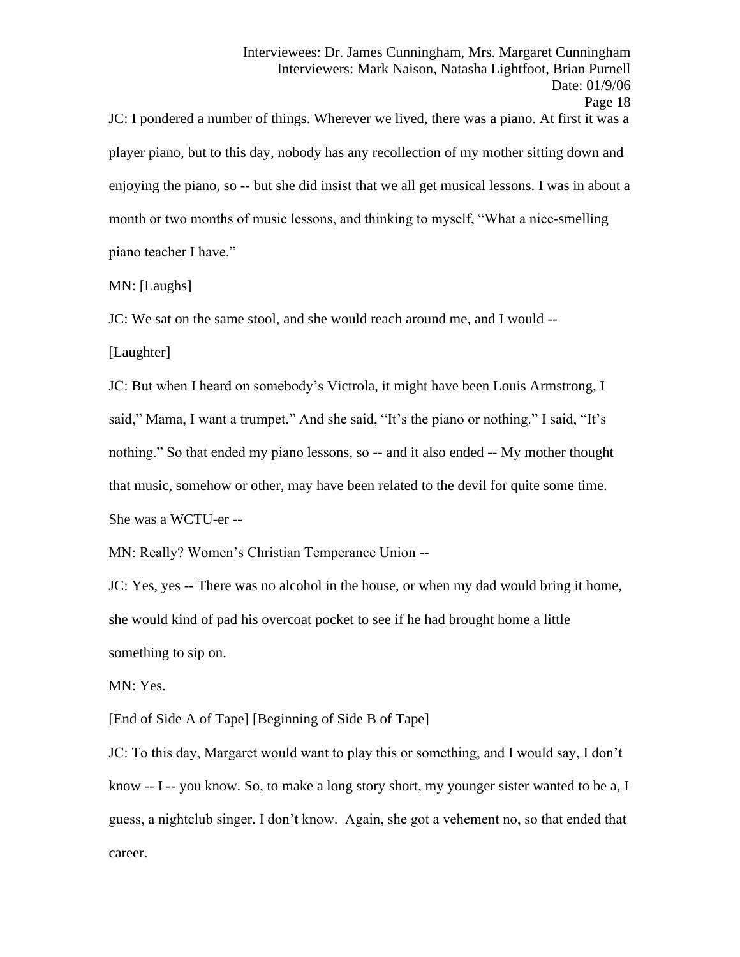JC: I pondered a number of things. Wherever we lived, there was a piano. At first it was a player piano, but to this day, nobody has any recollection of my mother sitting down and enjoying the piano, so -- but she did insist that we all get musical lessons. I was in about a month or two months of music lessons, and thinking to myself, "What a nice-smelling piano teacher I have."

MN: [Laughs]

JC: We sat on the same stool, and she would reach around me, and I would --

[Laughter]

JC: But when I heard on somebody's Victrola, it might have been Louis Armstrong, I said," Mama, I want a trumpet." And she said, "It's the piano or nothing." I said, "It's nothing." So that ended my piano lessons, so -- and it also ended -- My mother thought that music, somehow or other, may have been related to the devil for quite some time. She was a WCTU-er --

MN: Really? Women's Christian Temperance Union --

JC: Yes, yes -- There was no alcohol in the house, or when my dad would bring it home, she would kind of pad his overcoat pocket to see if he had brought home a little something to sip on.

MN: Yes.

[End of Side A of Tape] [Beginning of Side B of Tape]

JC: To this day, Margaret would want to play this or something, and I would say, I don't know -- I -- you know. So, to make a long story short, my younger sister wanted to be a, I guess, a nightclub singer. I don't know. Again, she got a vehement no, so that ended that career.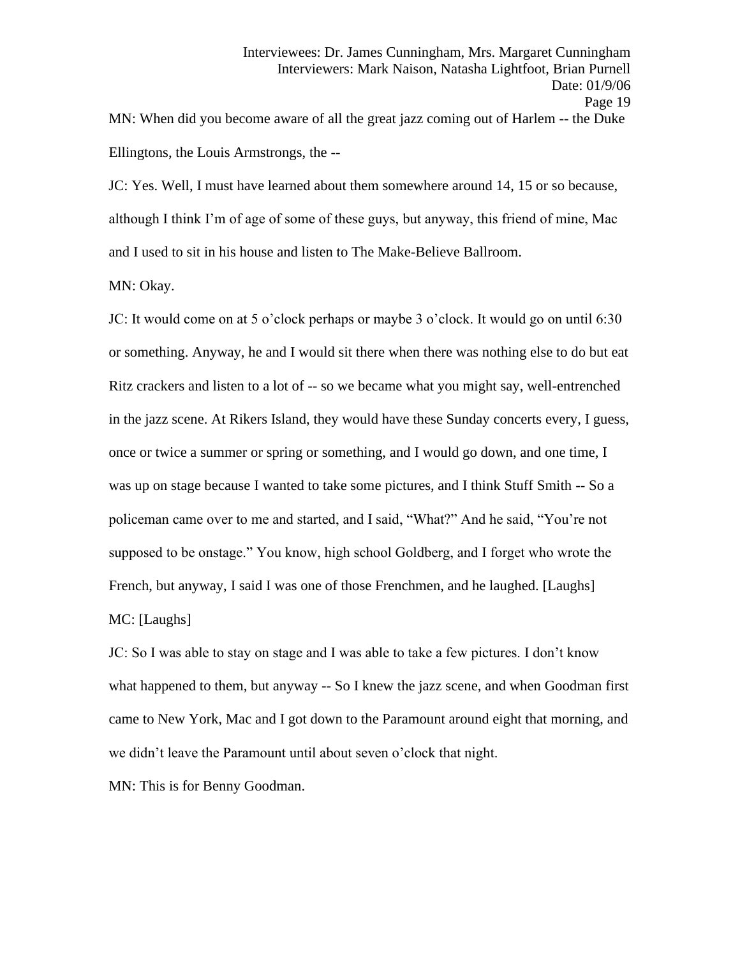Ellingtons, the Louis Armstrongs, the --

JC: Yes. Well, I must have learned about them somewhere around 14, 15 or so because, although I think I'm of age of some of these guys, but anyway, this friend of mine, Mac and I used to sit in his house and listen to The Make-Believe Ballroom.

MN: Okay.

JC: It would come on at 5 o'clock perhaps or maybe 3 o'clock. It would go on until 6:30 or something. Anyway, he and I would sit there when there was nothing else to do but eat Ritz crackers and listen to a lot of -- so we became what you might say, well-entrenched in the jazz scene. At Rikers Island, they would have these Sunday concerts every, I guess, once or twice a summer or spring or something, and I would go down, and one time, I was up on stage because I wanted to take some pictures, and I think Stuff Smith -- So a policeman came over to me and started, and I said, "What?" And he said, "You're not supposed to be onstage." You know, high school Goldberg, and I forget who wrote the French, but anyway, I said I was one of those Frenchmen, and he laughed. [Laughs] MC: [Laughs]

JC: So I was able to stay on stage and I was able to take a few pictures. I don't know what happened to them, but anyway -- So I knew the jazz scene, and when Goodman first came to New York, Mac and I got down to the Paramount around eight that morning, and we didn't leave the Paramount until about seven o'clock that night.

MN: This is for Benny Goodman.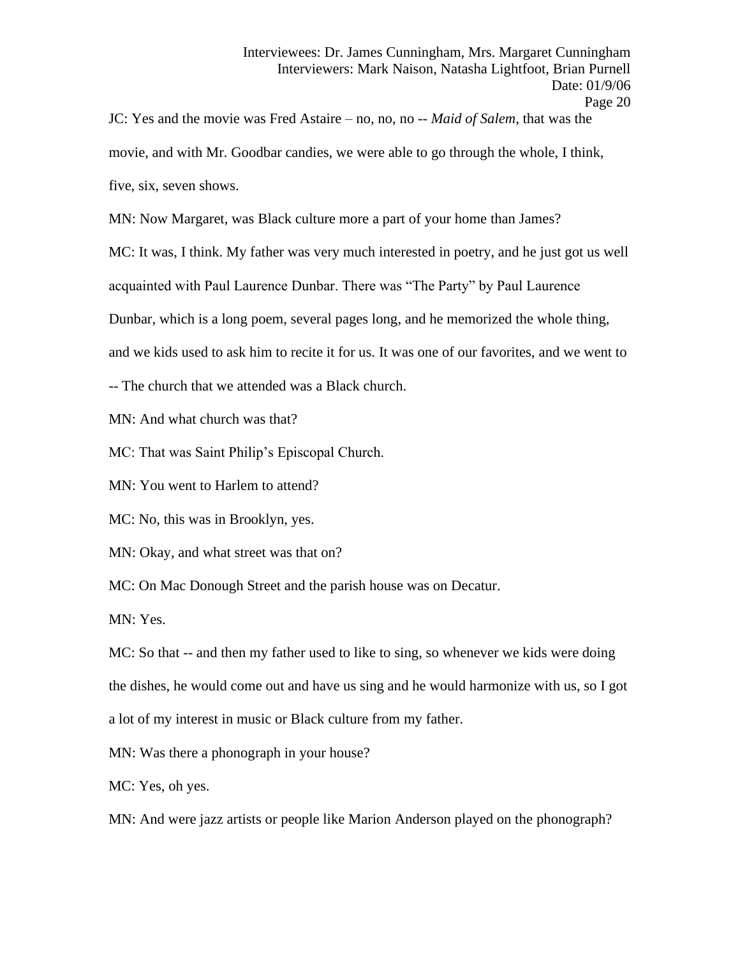JC: Yes and the movie was Fred Astaire – no, no, no -- *Maid of Salem*, that was the movie, and with Mr. Goodbar candies, we were able to go through the whole, I think, five, six, seven shows.

MN: Now Margaret, was Black culture more a part of your home than James?

MC: It was, I think. My father was very much interested in poetry, and he just got us well

acquainted with Paul Laurence Dunbar. There was "The Party" by Paul Laurence

Dunbar, which is a long poem, several pages long, and he memorized the whole thing,

and we kids used to ask him to recite it for us. It was one of our favorites, and we went to

-- The church that we attended was a Black church.

MN: And what church was that?

MC: That was Saint Philip's Episcopal Church.

MN: You went to Harlem to attend?

MC: No, this was in Brooklyn, yes.

MN: Okay, and what street was that on?

MC: On Mac Donough Street and the parish house was on Decatur.

MN: Yes.

MC: So that -- and then my father used to like to sing, so whenever we kids were doing the dishes, he would come out and have us sing and he would harmonize with us, so I got a lot of my interest in music or Black culture from my father.

MN: Was there a phonograph in your house?

MC: Yes, oh yes.

MN: And were jazz artists or people like Marion Anderson played on the phonograph?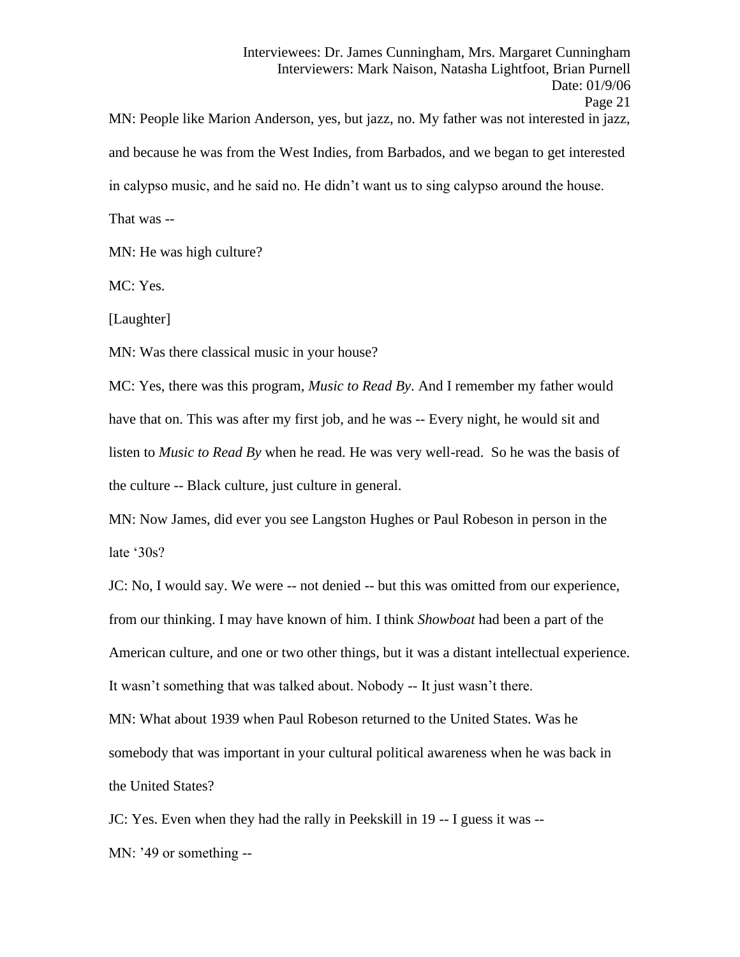MN: People like Marion Anderson, yes, but jazz, no. My father was not interested in jazz, and because he was from the West Indies, from Barbados, and we began to get interested in calypso music, and he said no. He didn't want us to sing calypso around the house.

That was --

MN: He was high culture?

MC: Yes.

[Laughter]

MN: Was there classical music in your house?

MC: Yes, there was this program, *Music to Read By*. And I remember my father would have that on. This was after my first job, and he was -- Every night, he would sit and listen to *Music to Read By* when he read. He was very well-read. So he was the basis of the culture -- Black culture, just culture in general.

MN: Now James, did ever you see Langston Hughes or Paul Robeson in person in the late '30s?

JC: No, I would say. We were -- not denied -- but this was omitted from our experience, from our thinking. I may have known of him. I think *Showboat* had been a part of the American culture, and one or two other things, but it was a distant intellectual experience. It wasn't something that was talked about. Nobody -- It just wasn't there.

MN: What about 1939 when Paul Robeson returned to the United States. Was he somebody that was important in your cultural political awareness when he was back in the United States?

JC: Yes. Even when they had the rally in Peekskill in 19 -- I guess it was --

MN: '49 or something --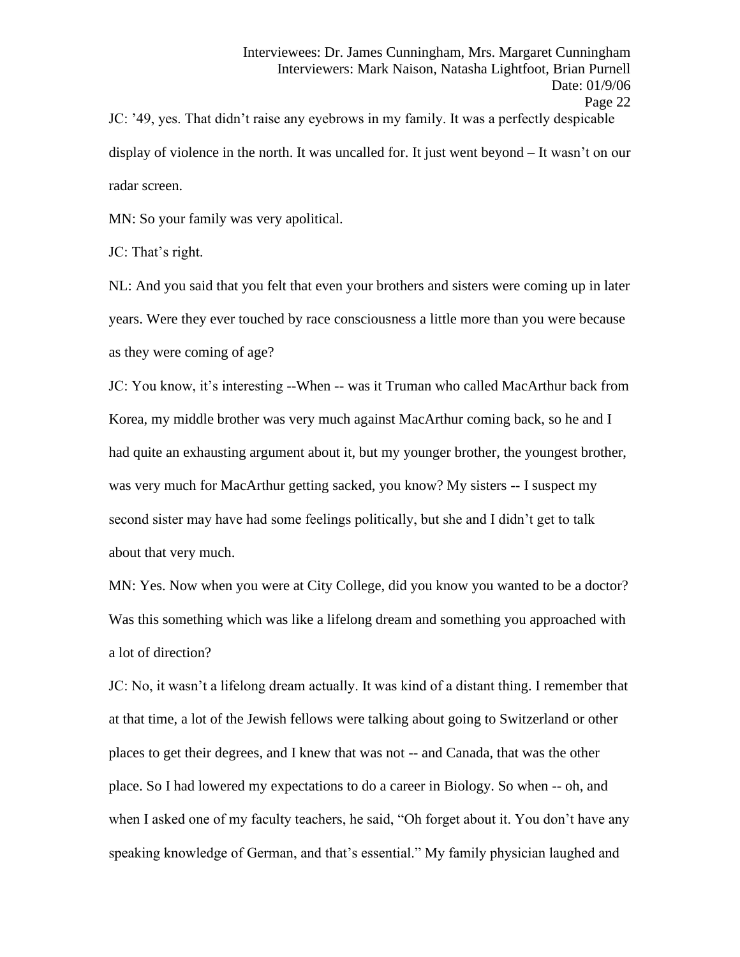JC: '49, yes. That didn't raise any eyebrows in my family. It was a perfectly despicable display of violence in the north. It was uncalled for. It just went beyond – It wasn't on our radar screen.

MN: So your family was very apolitical.

JC: That's right.

NL: And you said that you felt that even your brothers and sisters were coming up in later years. Were they ever touched by race consciousness a little more than you were because as they were coming of age?

JC: You know, it's interesting --When -- was it Truman who called MacArthur back from Korea, my middle brother was very much against MacArthur coming back, so he and I had quite an exhausting argument about it, but my younger brother, the youngest brother, was very much for MacArthur getting sacked, you know? My sisters -- I suspect my second sister may have had some feelings politically, but she and I didn't get to talk about that very much.

MN: Yes. Now when you were at City College, did you know you wanted to be a doctor? Was this something which was like a lifelong dream and something you approached with a lot of direction?

JC: No, it wasn't a lifelong dream actually. It was kind of a distant thing. I remember that at that time, a lot of the Jewish fellows were talking about going to Switzerland or other places to get their degrees, and I knew that was not -- and Canada, that was the other place. So I had lowered my expectations to do a career in Biology. So when -- oh, and when I asked one of my faculty teachers, he said, "Oh forget about it. You don't have any speaking knowledge of German, and that's essential." My family physician laughed and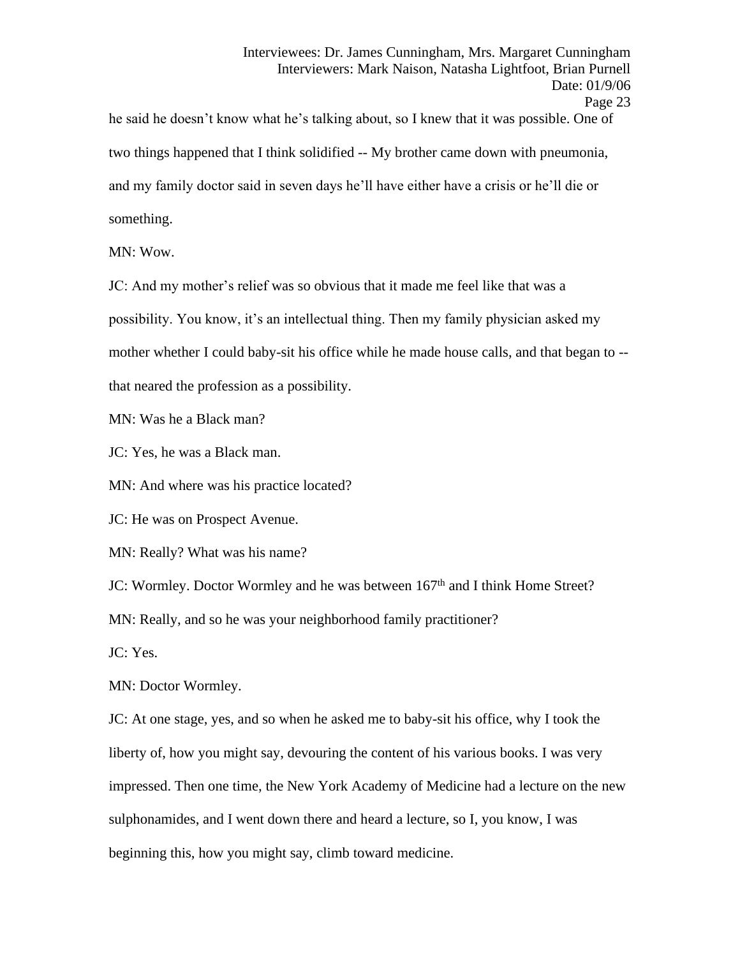he said he doesn't know what he's talking about, so I knew that it was possible. One of two things happened that I think solidified -- My brother came down with pneumonia, and my family doctor said in seven days he'll have either have a crisis or he'll die or something.

MN: Wow.

JC: And my mother's relief was so obvious that it made me feel like that was a possibility. You know, it's an intellectual thing. Then my family physician asked my mother whether I could baby-sit his office while he made house calls, and that began to - that neared the profession as a possibility.

MN: Was he a Black man?

JC: Yes, he was a Black man.

MN: And where was his practice located?

JC: He was on Prospect Avenue.

MN: Really? What was his name?

JC: Wormley. Doctor Wormley and he was between 167<sup>th</sup> and I think Home Street?

MN: Really, and so he was your neighborhood family practitioner?

JC: Yes.

MN: Doctor Wormley.

JC: At one stage, yes, and so when he asked me to baby-sit his office, why I took the liberty of, how you might say, devouring the content of his various books. I was very impressed. Then one time, the New York Academy of Medicine had a lecture on the new sulphonamides, and I went down there and heard a lecture, so I, you know, I was beginning this, how you might say, climb toward medicine.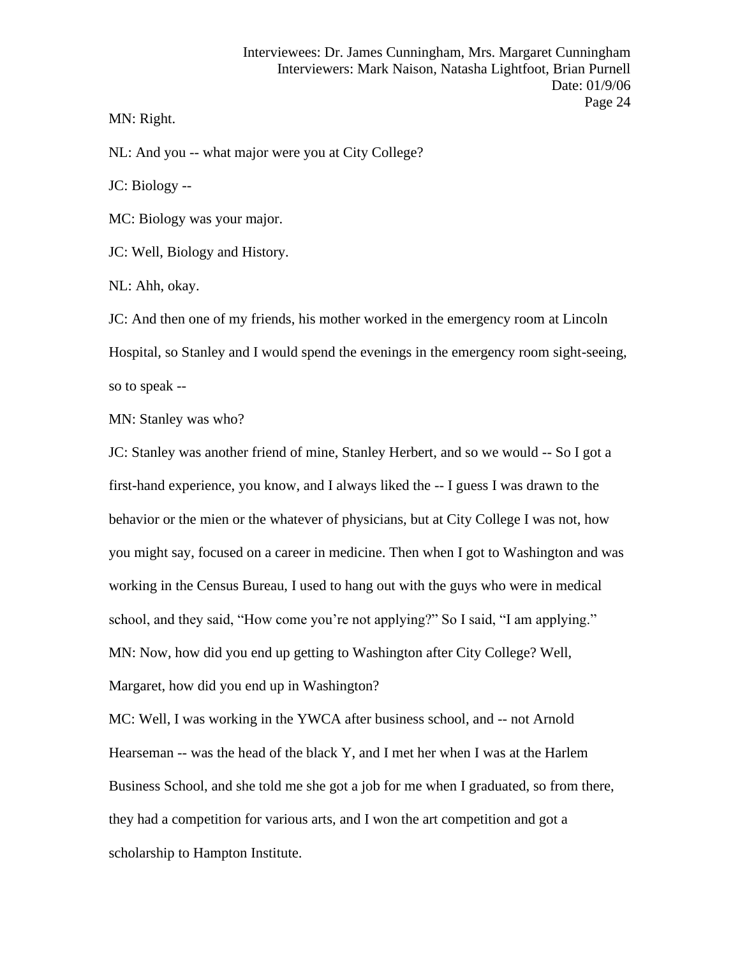MN: Right.

NL: And you -- what major were you at City College?

JC: Biology --

MC: Biology was your major.

JC: Well, Biology and History.

NL: Ahh, okay.

JC: And then one of my friends, his mother worked in the emergency room at Lincoln Hospital, so Stanley and I would spend the evenings in the emergency room sight-seeing, so to speak --

MN: Stanley was who?

JC: Stanley was another friend of mine, Stanley Herbert, and so we would -- So I got a first-hand experience, you know, and I always liked the -- I guess I was drawn to the behavior or the mien or the whatever of physicians, but at City College I was not, how you might say, focused on a career in medicine. Then when I got to Washington and was working in the Census Bureau, I used to hang out with the guys who were in medical school, and they said, "How come you're not applying?" So I said, "I am applying." MN: Now, how did you end up getting to Washington after City College? Well, Margaret, how did you end up in Washington?

MC: Well, I was working in the YWCA after business school, and -- not Arnold Hearseman -- was the head of the black Y, and I met her when I was at the Harlem Business School, and she told me she got a job for me when I graduated, so from there, they had a competition for various arts, and I won the art competition and got a scholarship to Hampton Institute.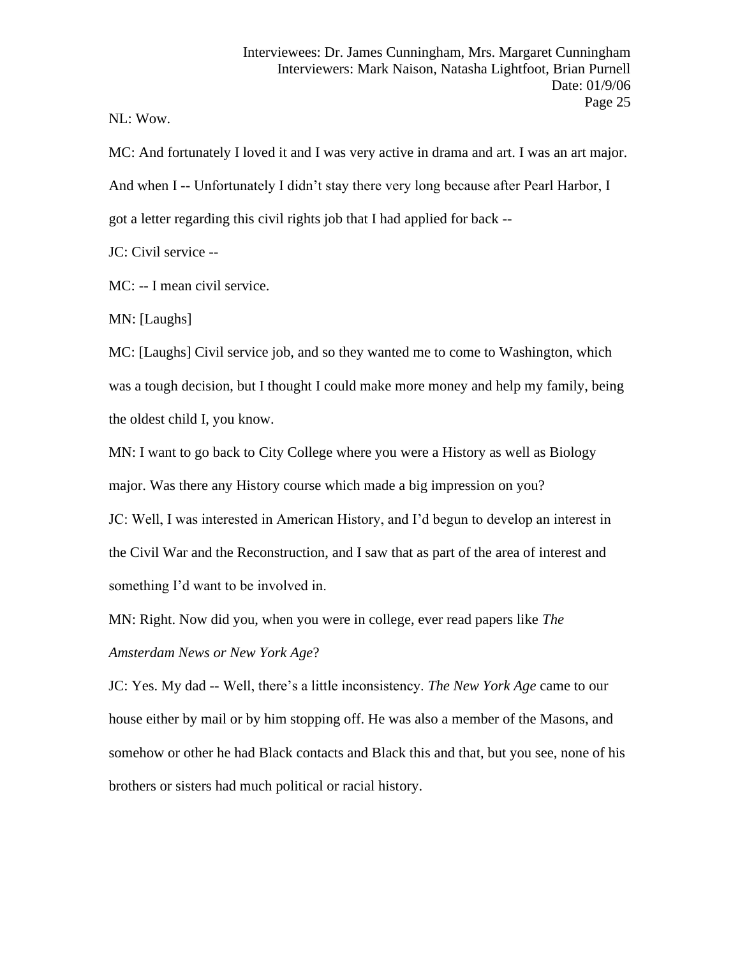NL: Wow.

MC: And fortunately I loved it and I was very active in drama and art. I was an art major. And when I -- Unfortunately I didn't stay there very long because after Pearl Harbor, I got a letter regarding this civil rights job that I had applied for back --

JC: Civil service --

MC: -- I mean civil service.

MN: [Laughs]

MC: [Laughs] Civil service job, and so they wanted me to come to Washington, which was a tough decision, but I thought I could make more money and help my family, being the oldest child I, you know.

MN: I want to go back to City College where you were a History as well as Biology major. Was there any History course which made a big impression on you?

JC: Well, I was interested in American History, and I'd begun to develop an interest in the Civil War and the Reconstruction, and I saw that as part of the area of interest and something I'd want to be involved in.

MN: Right. Now did you, when you were in college, ever read papers like *The Amsterdam News or New York Age*?

JC: Yes. My dad -- Well, there's a little inconsistency. *The New York Age* came to our house either by mail or by him stopping off. He was also a member of the Masons, and somehow or other he had Black contacts and Black this and that, but you see, none of his brothers or sisters had much political or racial history.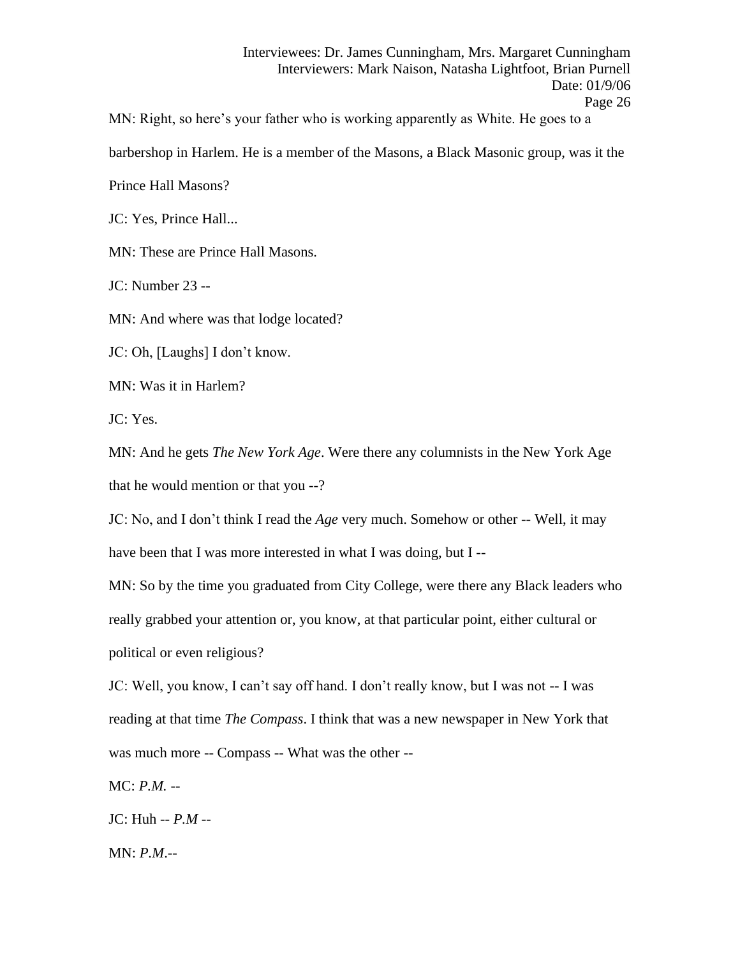Interviewees: Dr. James Cunningham, Mrs. Margaret Cunningham Interviewers: Mark Naison, Natasha Lightfoot, Brian Purnell Date: 01/9/06 Page 26

MN: Right, so here's your father who is working apparently as White. He goes to a

barbershop in Harlem. He is a member of the Masons, a Black Masonic group, was it the

Prince Hall Masons?

JC: Yes, Prince Hall...

MN: These are Prince Hall Masons.

JC: Number 23 --

MN: And where was that lodge located?

JC: Oh, [Laughs] I don't know.

MN: Was it in Harlem?

JC: Yes.

MN: And he gets *The New York Age*. Were there any columnists in the New York Age that he would mention or that you --?

JC: No, and I don't think I read the *Age* very much. Somehow or other -- Well, it may have been that I was more interested in what I was doing, but I --

MN: So by the time you graduated from City College, were there any Black leaders who really grabbed your attention or, you know, at that particular point, either cultural or political or even religious?

JC: Well, you know, I can't say off hand. I don't really know, but I was not -- I was reading at that time *The Compass*. I think that was a new newspaper in New York that was much more -- Compass -- What was the other --

MC: *P.M.* --

JC: Huh -- *P.M* --

MN: *P.M*.--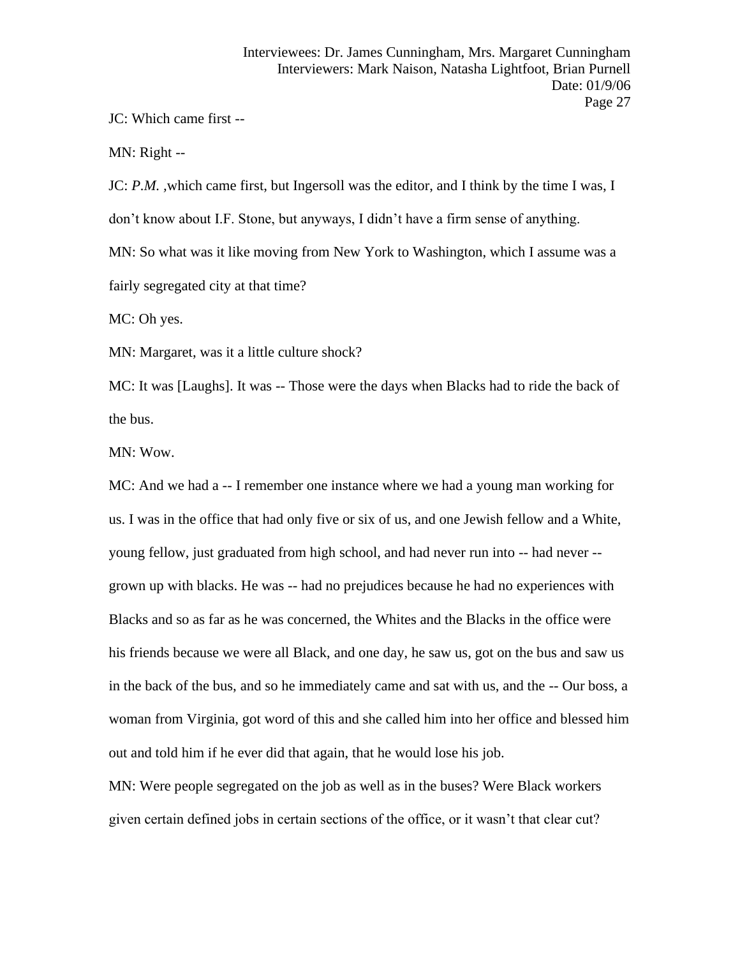JC: Which came first --

MN: Right --

JC: *P.M. ,*which came first, but Ingersoll was the editor, and I think by the time I was, I don't know about I.F. Stone, but anyways, I didn't have a firm sense of anything. MN: So what was it like moving from New York to Washington, which I assume was a fairly segregated city at that time?

MC: Oh yes.

MN: Margaret, was it a little culture shock?

MC: It was [Laughs]. It was -- Those were the days when Blacks had to ride the back of the bus.

MN: Wow.

MC: And we had a -- I remember one instance where we had a young man working for us. I was in the office that had only five or six of us, and one Jewish fellow and a White, young fellow, just graduated from high school, and had never run into -- had never - grown up with blacks. He was -- had no prejudices because he had no experiences with Blacks and so as far as he was concerned, the Whites and the Blacks in the office were his friends because we were all Black, and one day, he saw us, got on the bus and saw us in the back of the bus, and so he immediately came and sat with us, and the -- Our boss, a woman from Virginia, got word of this and she called him into her office and blessed him out and told him if he ever did that again, that he would lose his job.

MN: Were people segregated on the job as well as in the buses? Were Black workers given certain defined jobs in certain sections of the office, or it wasn't that clear cut?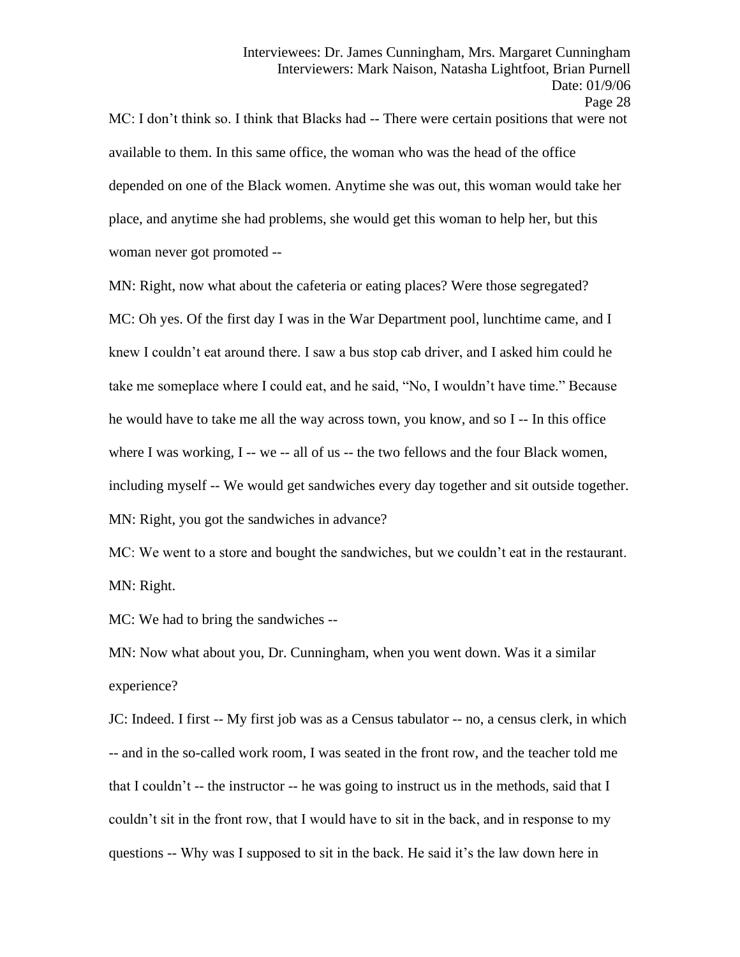MC: I don't think so. I think that Blacks had -- There were certain positions that were not available to them. In this same office, the woman who was the head of the office depended on one of the Black women. Anytime she was out, this woman would take her place, and anytime she had problems, she would get this woman to help her, but this woman never got promoted --

MN: Right, now what about the cafeteria or eating places? Were those segregated? MC: Oh yes. Of the first day I was in the War Department pool, lunchtime came, and I knew I couldn't eat around there. I saw a bus stop cab driver, and I asked him could he take me someplace where I could eat, and he said, "No, I wouldn't have time." Because he would have to take me all the way across town, you know, and so I -- In this office where I was working, I -- we -- all of us -- the two fellows and the four Black women, including myself -- We would get sandwiches every day together and sit outside together. MN: Right, you got the sandwiches in advance?

MC: We went to a store and bought the sandwiches, but we couldn't eat in the restaurant. MN: Right.

MC: We had to bring the sandwiches --

MN: Now what about you, Dr. Cunningham, when you went down. Was it a similar experience?

JC: Indeed. I first -- My first job was as a Census tabulator -- no, a census clerk, in which -- and in the so-called work room, I was seated in the front row, and the teacher told me that I couldn't -- the instructor -- he was going to instruct us in the methods, said that I couldn't sit in the front row, that I would have to sit in the back, and in response to my questions -- Why was I supposed to sit in the back. He said it's the law down here in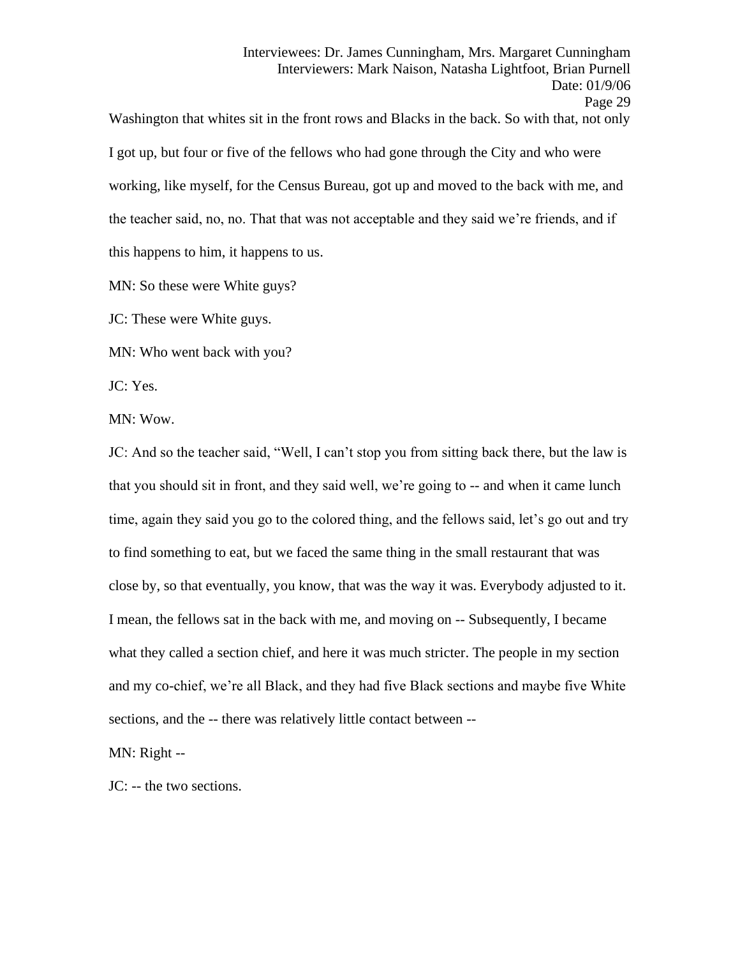Washington that whites sit in the front rows and Blacks in the back. So with that, not only I got up, but four or five of the fellows who had gone through the City and who were working, like myself, for the Census Bureau, got up and moved to the back with me, and the teacher said, no, no. That that was not acceptable and they said we're friends, and if this happens to him, it happens to us.

MN: So these were White guys?

JC: These were White guys.

MN: Who went back with you?

JC: Yes.

MN: Wow.

JC: And so the teacher said, "Well, I can't stop you from sitting back there, but the law is that you should sit in front, and they said well, we're going to -- and when it came lunch time, again they said you go to the colored thing, and the fellows said, let's go out and try to find something to eat, but we faced the same thing in the small restaurant that was close by, so that eventually, you know, that was the way it was. Everybody adjusted to it. I mean, the fellows sat in the back with me, and moving on -- Subsequently, I became what they called a section chief, and here it was much stricter. The people in my section and my co-chief, we're all Black, and they had five Black sections and maybe five White sections, and the -- there was relatively little contact between --

MN: Right --

JC: -- the two sections.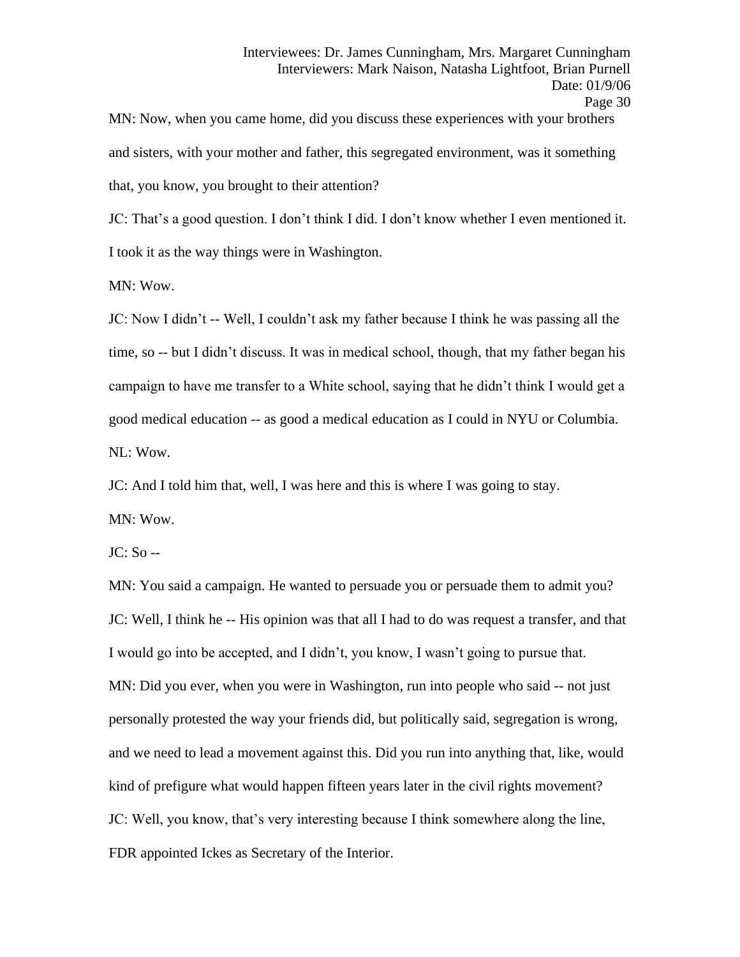MN: Now, when you came home, did you discuss these experiences with your brothers and sisters, with your mother and father, this segregated environment, was it something that, you know, you brought to their attention?

JC: That's a good question. I don't think I did. I don't know whether I even mentioned it. I took it as the way things were in Washington.

MN: Wow.

JC: Now I didn't -- Well, I couldn't ask my father because I think he was passing all the time, so -- but I didn't discuss. It was in medical school, though, that my father began his campaign to have me transfer to a White school, saying that he didn't think I would get a good medical education -- as good a medical education as I could in NYU or Columbia. NL: Wow.

JC: And I told him that, well, I was here and this is where I was going to stay.

MN: Wow.

JC: So --

MN: You said a campaign. He wanted to persuade you or persuade them to admit you? JC: Well, I think he -- His opinion was that all I had to do was request a transfer, and that I would go into be accepted, and I didn't, you know, I wasn't going to pursue that. MN: Did you ever, when you were in Washington, run into people who said -- not just personally protested the way your friends did, but politically said, segregation is wrong, and we need to lead a movement against this. Did you run into anything that, like, would kind of prefigure what would happen fifteen years later in the civil rights movement? JC: Well, you know, that's very interesting because I think somewhere along the line, FDR appointed Ickes as Secretary of the Interior.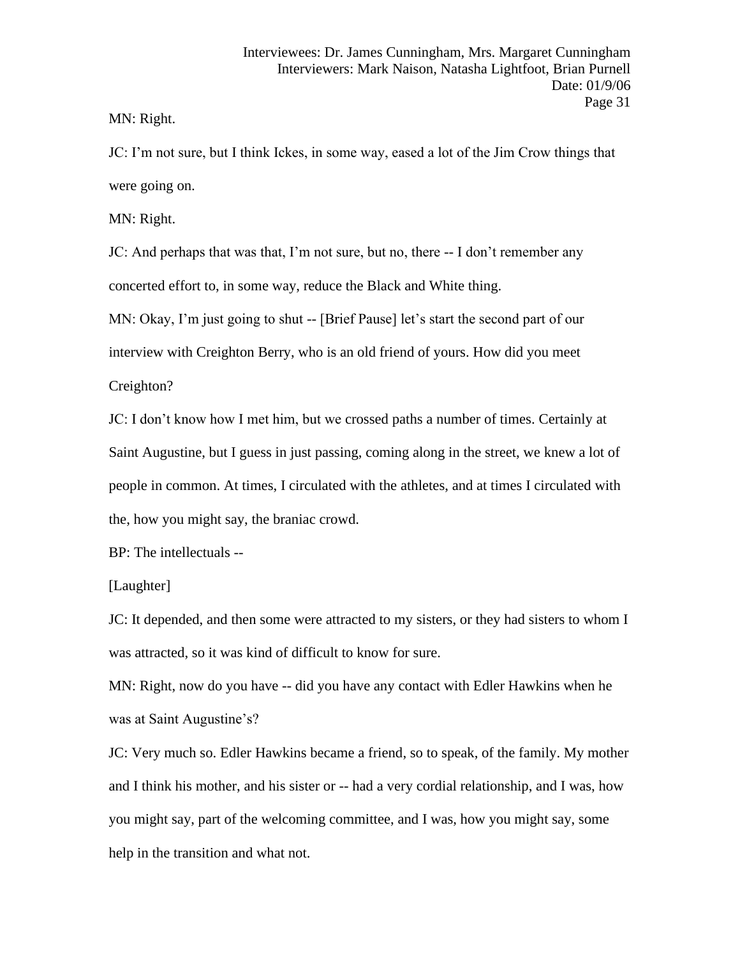MN: Right.

JC: I'm not sure, but I think Ickes, in some way, eased a lot of the Jim Crow things that were going on.

MN: Right.

JC: And perhaps that was that, I'm not sure, but no, there -- I don't remember any concerted effort to, in some way, reduce the Black and White thing.

MN: Okay, I'm just going to shut -- [Brief Pause] let's start the second part of our

interview with Creighton Berry, who is an old friend of yours. How did you meet

Creighton?

JC: I don't know how I met him, but we crossed paths a number of times. Certainly at Saint Augustine, but I guess in just passing, coming along in the street, we knew a lot of people in common. At times, I circulated with the athletes, and at times I circulated with the, how you might say, the braniac crowd.

BP: The intellectuals --

## [Laughter]

JC: It depended, and then some were attracted to my sisters, or they had sisters to whom I was attracted, so it was kind of difficult to know for sure.

MN: Right, now do you have -- did you have any contact with Edler Hawkins when he was at Saint Augustine's?

JC: Very much so. Edler Hawkins became a friend, so to speak, of the family. My mother and I think his mother, and his sister or -- had a very cordial relationship, and I was, how you might say, part of the welcoming committee, and I was, how you might say, some help in the transition and what not.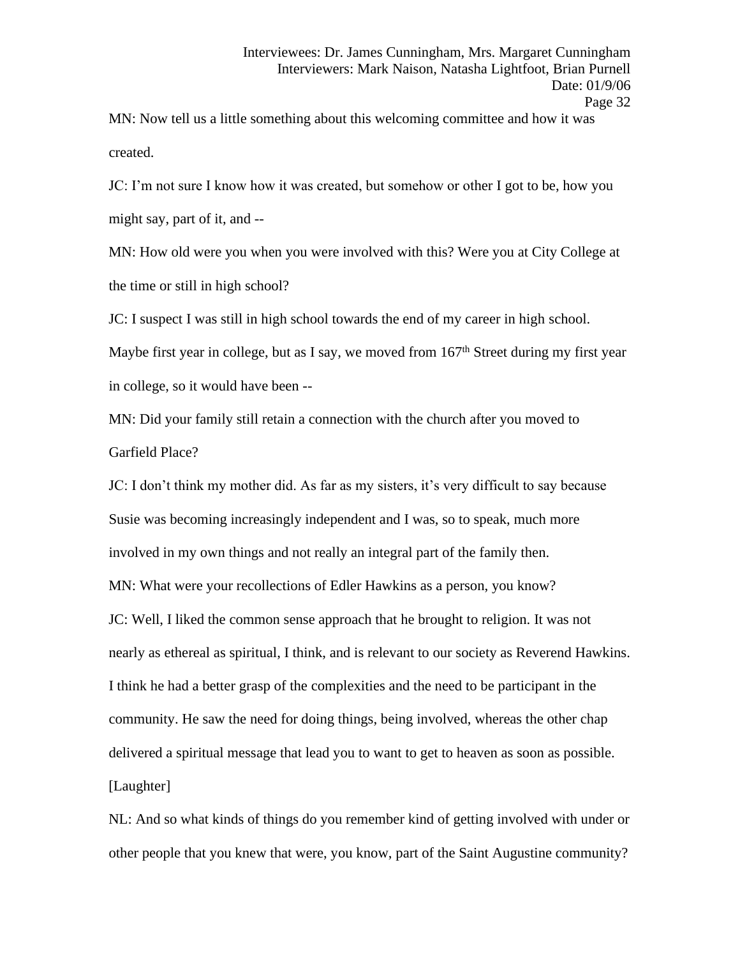MN: Now tell us a little something about this welcoming committee and how it was created.

JC: I'm not sure I know how it was created, but somehow or other I got to be, how you might say, part of it, and --

MN: How old were you when you were involved with this? Were you at City College at the time or still in high school?

JC: I suspect I was still in high school towards the end of my career in high school.

Maybe first year in college, but as I say, we moved from  $167<sup>th</sup>$  Street during my first year in college, so it would have been --

MN: Did your family still retain a connection with the church after you moved to Garfield Place?

JC: I don't think my mother did. As far as my sisters, it's very difficult to say because Susie was becoming increasingly independent and I was, so to speak, much more involved in my own things and not really an integral part of the family then. MN: What were your recollections of Edler Hawkins as a person, you know? JC: Well, I liked the common sense approach that he brought to religion. It was not nearly as ethereal as spiritual, I think, and is relevant to our society as Reverend Hawkins. I think he had a better grasp of the complexities and the need to be participant in the community. He saw the need for doing things, being involved, whereas the other chap delivered a spiritual message that lead you to want to get to heaven as soon as possible. [Laughter]

NL: And so what kinds of things do you remember kind of getting involved with under or other people that you knew that were, you know, part of the Saint Augustine community?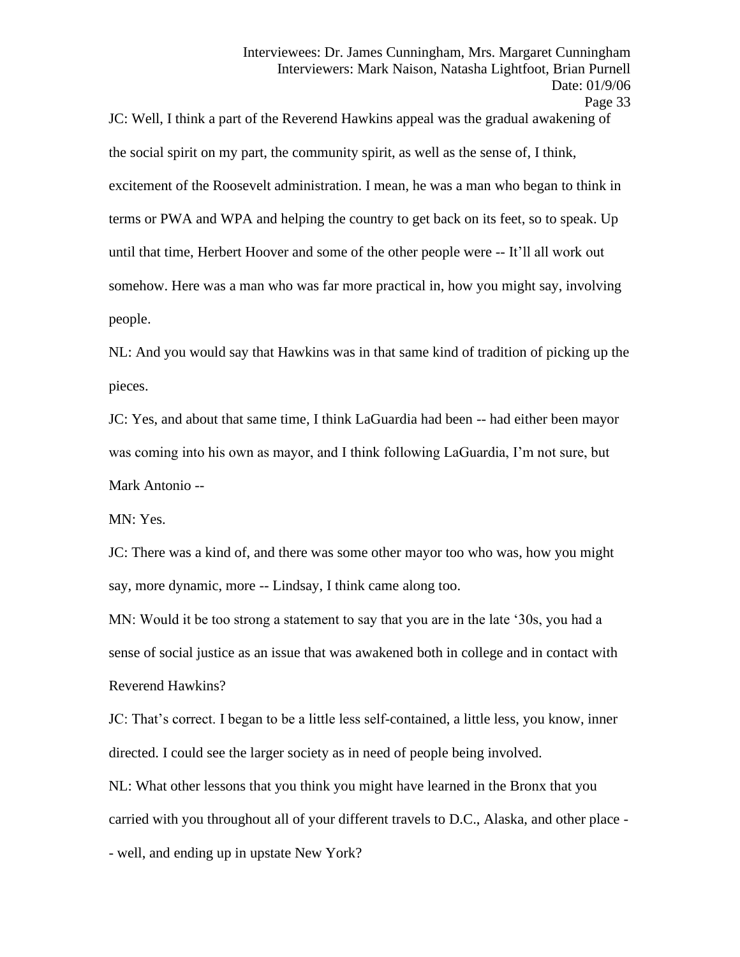JC: Well, I think a part of the Reverend Hawkins appeal was the gradual awakening of the social spirit on my part, the community spirit, as well as the sense of, I think, excitement of the Roosevelt administration. I mean, he was a man who began to think in terms or PWA and WPA and helping the country to get back on its feet, so to speak. Up until that time, Herbert Hoover and some of the other people were -- It'll all work out somehow. Here was a man who was far more practical in, how you might say, involving people.

NL: And you would say that Hawkins was in that same kind of tradition of picking up the pieces.

JC: Yes, and about that same time, I think LaGuardia had been -- had either been mayor was coming into his own as mayor, and I think following LaGuardia, I'm not sure, but Mark Antonio --

MN: Yes.

JC: There was a kind of, and there was some other mayor too who was, how you might say, more dynamic, more -- Lindsay, I think came along too.

MN: Would it be too strong a statement to say that you are in the late '30s, you had a sense of social justice as an issue that was awakened both in college and in contact with Reverend Hawkins?

JC: That's correct. I began to be a little less self-contained, a little less, you know, inner directed. I could see the larger society as in need of people being involved.

NL: What other lessons that you think you might have learned in the Bronx that you

carried with you throughout all of your different travels to D.C., Alaska, and other place -

- well, and ending up in upstate New York?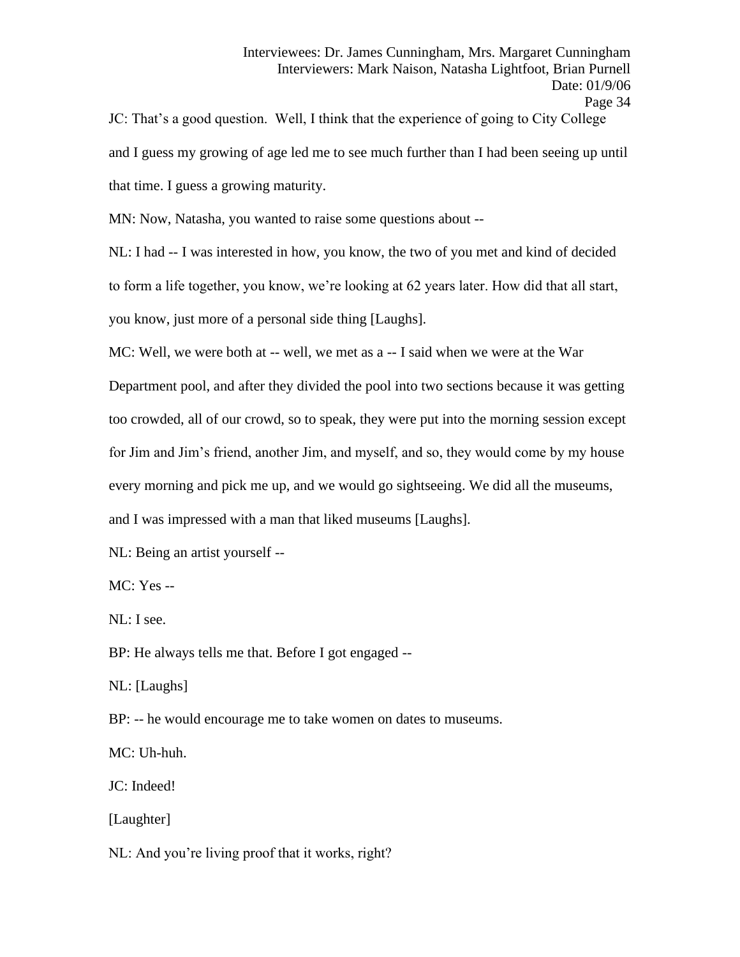JC: That's a good question. Well, I think that the experience of going to City College and I guess my growing of age led me to see much further than I had been seeing up until that time. I guess a growing maturity.

MN: Now, Natasha, you wanted to raise some questions about --

NL: I had -- I was interested in how, you know, the two of you met and kind of decided to form a life together, you know, we're looking at 62 years later. How did that all start, you know, just more of a personal side thing [Laughs].

MC: Well, we were both at -- well, we met as a -- I said when we were at the War

Department pool, and after they divided the pool into two sections because it was getting too crowded, all of our crowd, so to speak, they were put into the morning session except for Jim and Jim's friend, another Jim, and myself, and so, they would come by my house every morning and pick me up, and we would go sightseeing. We did all the museums,

and I was impressed with a man that liked museums [Laughs].

NL: Being an artist yourself --

MC: Yes --

NL: I see.

BP: He always tells me that. Before I got engaged --

NL: [Laughs]

BP: -- he would encourage me to take women on dates to museums.

MC: Uh-huh.

JC: Indeed!

[Laughter]

NL: And you're living proof that it works, right?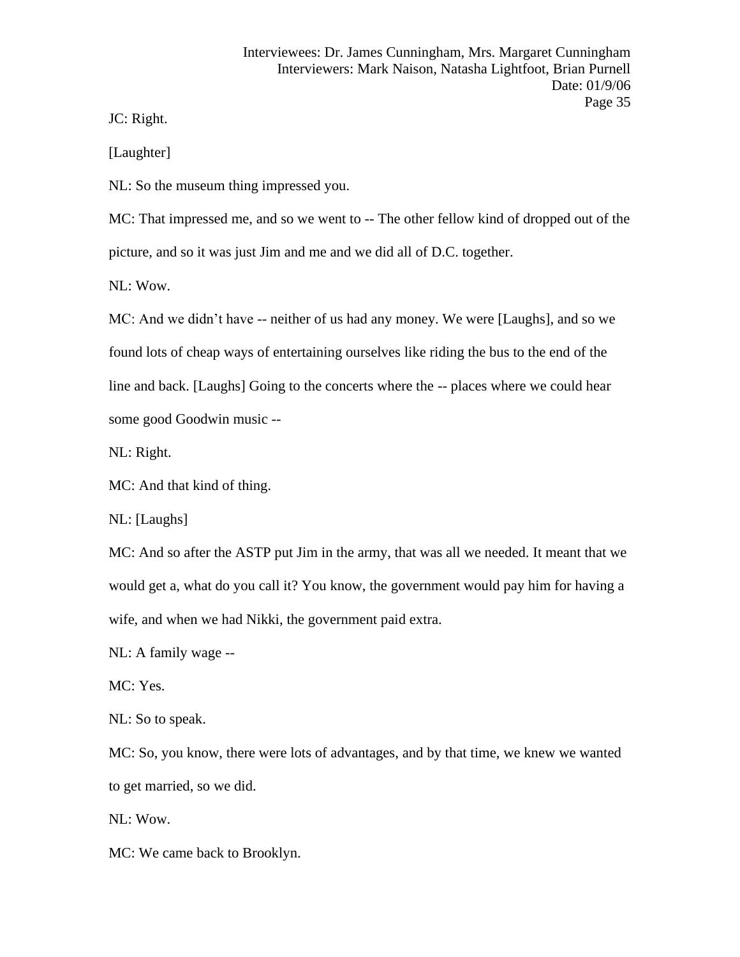JC: Right.

[Laughter]

NL: So the museum thing impressed you.

MC: That impressed me, and so we went to -- The other fellow kind of dropped out of the picture, and so it was just Jim and me and we did all of D.C. together.

NL: Wow.

MC: And we didn't have -- neither of us had any money. We were [Laughs], and so we found lots of cheap ways of entertaining ourselves like riding the bus to the end of the line and back. [Laughs] Going to the concerts where the -- places where we could hear some good Goodwin music --

NL: Right.

MC: And that kind of thing.

NL: [Laughs]

MC: And so after the ASTP put Jim in the army, that was all we needed. It meant that we would get a, what do you call it? You know, the government would pay him for having a wife, and when we had Nikki, the government paid extra.

NL: A family wage --

MC: Yes.

NL: So to speak.

MC: So, you know, there were lots of advantages, and by that time, we knew we wanted to get married, so we did.

NL: Wow.

MC: We came back to Brooklyn.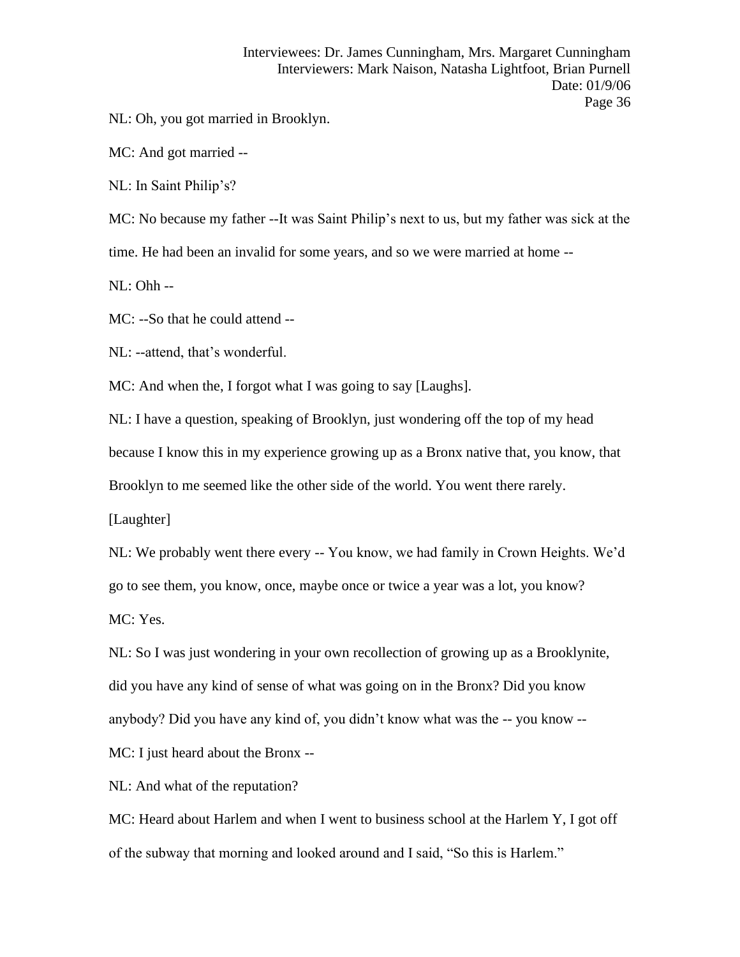NL: Oh, you got married in Brooklyn.

MC: And got married --

NL: In Saint Philip's?

MC: No because my father --It was Saint Philip's next to us, but my father was sick at the

time. He had been an invalid for some years, and so we were married at home --

NL: Ohh --

MC: --So that he could attend --

NL: --attend, that's wonderful.

MC: And when the, I forgot what I was going to say [Laughs].

NL: I have a question, speaking of Brooklyn, just wondering off the top of my head

because I know this in my experience growing up as a Bronx native that, you know, that

Brooklyn to me seemed like the other side of the world. You went there rarely.

[Laughter]

NL: We probably went there every -- You know, we had family in Crown Heights. We'd go to see them, you know, once, maybe once or twice a year was a lot, you know? MC: Yes.

NL: So I was just wondering in your own recollection of growing up as a Brooklynite, did you have any kind of sense of what was going on in the Bronx? Did you know anybody? Did you have any kind of, you didn't know what was the -- you know --

MC: I just heard about the Bronx --

NL: And what of the reputation?

MC: Heard about Harlem and when I went to business school at the Harlem Y, I got off of the subway that morning and looked around and I said, "So this is Harlem."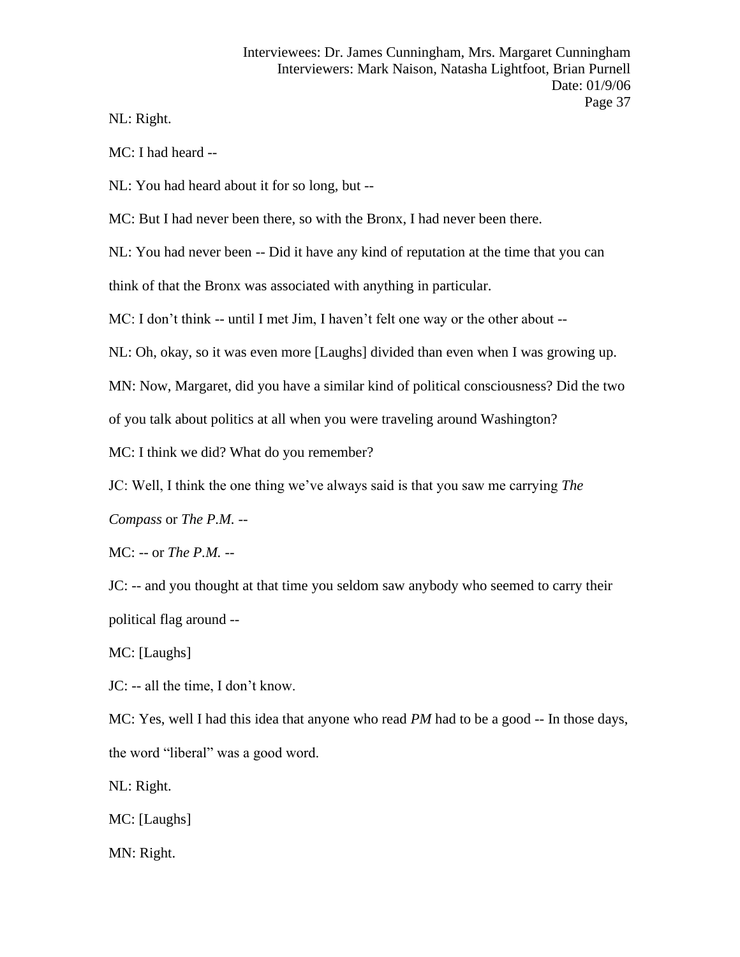NL: Right.

MC: I had heard --

NL: You had heard about it for so long, but --

MC: But I had never been there, so with the Bronx, I had never been there.

NL: You had never been -- Did it have any kind of reputation at the time that you can

think of that the Bronx was associated with anything in particular.

MC: I don't think -- until I met Jim, I haven't felt one way or the other about --

NL: Oh, okay, so it was even more [Laughs] divided than even when I was growing up.

MN: Now, Margaret, did you have a similar kind of political consciousness? Did the two

of you talk about politics at all when you were traveling around Washington?

MC: I think we did? What do you remember?

JC: Well, I think the one thing we've always said is that you saw me carrying *The* 

*Compass* or *The P.M.* --

MC: -- or *The P.M.* --

JC: -- and you thought at that time you seldom saw anybody who seemed to carry their political flag around --

MC: [Laughs]

JC: -- all the time, I don't know.

MC: Yes, well I had this idea that anyone who read *PM* had to be a good -- In those days, the word "liberal" was a good word.

NL: Right.

MC: [Laughs]

MN: Right.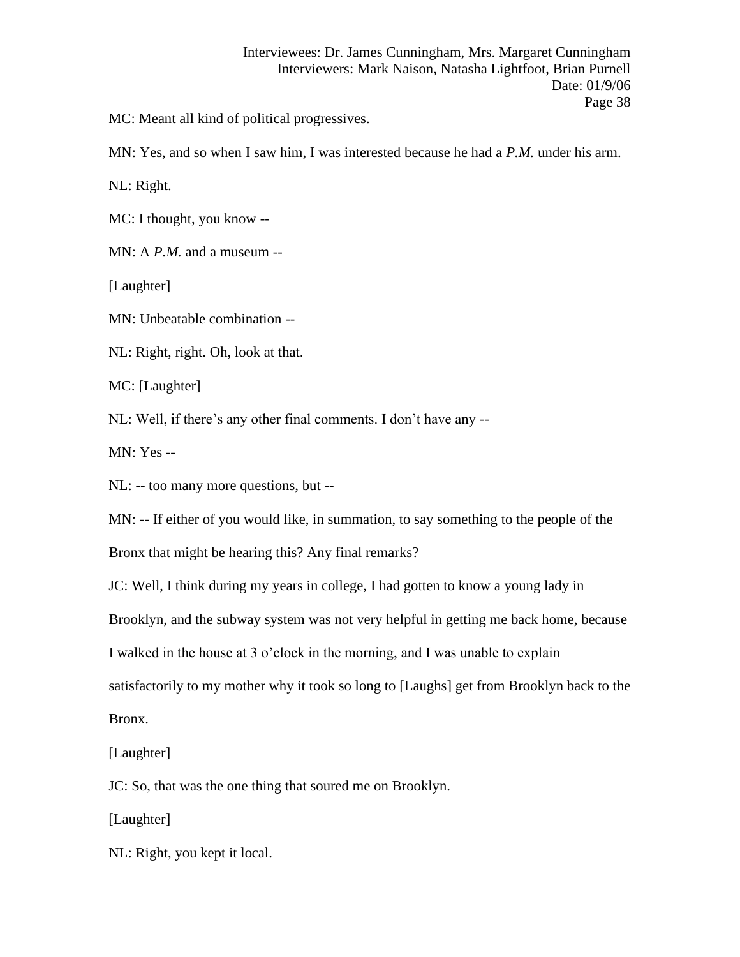MC: Meant all kind of political progressives.

MN: Yes, and so when I saw him, I was interested because he had a *P.M.* under his arm.

NL: Right.

MC: I thought, you know --

MN: A *P.M.* and a museum --

[Laughter]

MN: Unbeatable combination --

NL: Right, right. Oh, look at that.

MC: [Laughter]

NL: Well, if there's any other final comments. I don't have any --

MN: Yes --

NL: -- too many more questions, but --

MN: -- If either of you would like, in summation, to say something to the people of the

Bronx that might be hearing this? Any final remarks?

JC: Well, I think during my years in college, I had gotten to know a young lady in

Brooklyn, and the subway system was not very helpful in getting me back home, because

I walked in the house at 3 o'clock in the morning, and I was unable to explain

satisfactorily to my mother why it took so long to [Laughs] get from Brooklyn back to the

Bronx.

[Laughter]

JC: So, that was the one thing that soured me on Brooklyn.

[Laughter]

NL: Right, you kept it local.